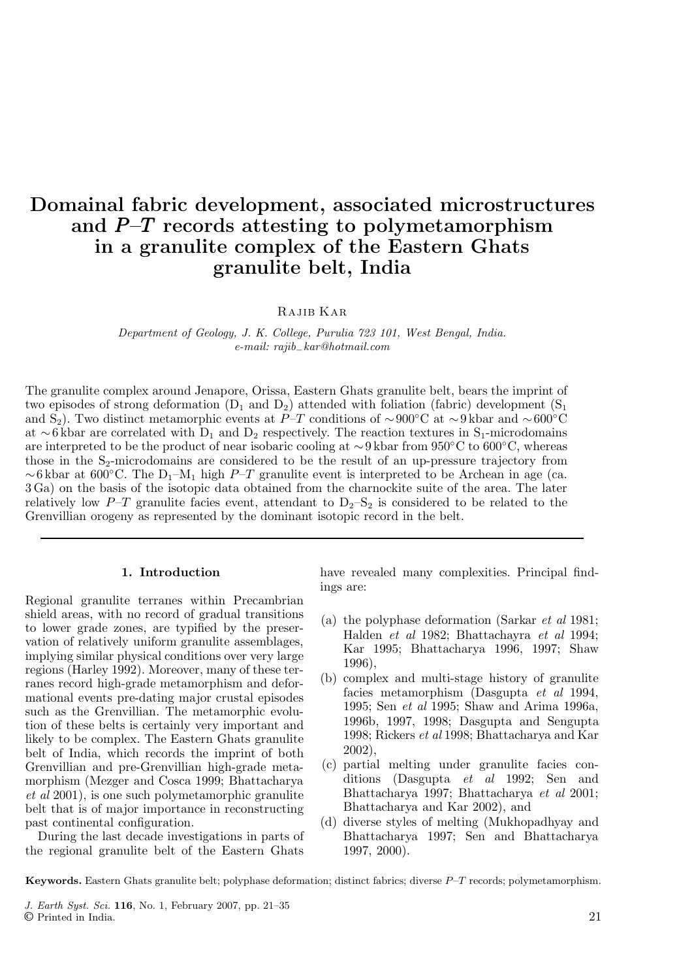# Domainal fabric development, associated microstructures and  $P$ -T records attesting to polymetamorphism in a granulite complex of the Eastern Ghats granulite belt, India

Rajib Kar

*Department of Geology, J. K. College, Purulia 723 101, West Bengal, India. e-mail: rajib*−*kar@hotmail.com*

The granulite complex around Jenapore, Orissa, Eastern Ghats granulite belt, bears the imprint of two episodes of strong deformation  $(D_1 \text{ and } D_2)$  attended with foliation (fabric) development  $(S_1 \text{ and } D_2)$ and S<sub>2</sub>). Two distinct metamorphic events at P–T conditions of ~900°C at ~9 kbar and ~600°C at ∼6 kbar are correlated with  $D_1$  and  $D_2$  respectively. The reaction textures in S<sub>1</sub>-microdomains are interpreted to be the product of near isobaric cooling at ∼9 kbar from 950◦C to 600◦C, whereas those in the  $S_2$ -microdomains are considered to be the result of an up-pressure trajectory from ~6 kbar at 600°C. The D<sub>1</sub>–M<sub>1</sub> high P–T granulite event is interpreted to be Archean in age (ca. 3 Ga) on the basis of the isotopic data obtained from the charnockite suite of the area. The later relatively low  $P-T$  granulite facies event, attendant to  $D_2-S_2$  is considered to be related to the Grenvillian orogeny as represented by the dominant isotopic record in the belt.

#### 1. Introduction

Regional granulite terranes within Precambrian shield areas, with no record of gradual transitions to lower grade zones, are typified by the preservation of relatively uniform granulite assemblages, implying similar physical conditions over very large regions (Harley 1992). Moreover, many of these terranes record high-grade metamorphism and deformational events pre-dating major crustal episodes such as the Grenvillian. The metamorphic evolution of these belts is certainly very important and likely to be complex. The Eastern Ghats granulite belt of India, which records the imprint of both Grenvillian and pre-Grenvillian high-grade metamorphism (Mezger and Cosca 1999; Bhattacharya *et al* 2001), is one such polymetamorphic granulite belt that is of major importance in reconstructing past continental configuration.

During the last decade investigations in parts of the regional granulite belt of the Eastern Ghats

have revealed many complexities. Principal findings are:

- (a) the polyphase deformation (Sarkar *et al* 1981; Halden *et al* 1982; Bhattachayra *et al* 1994; Kar 1995; Bhattacharya 1996, 1997; Shaw 1996),
- (b) complex and multi-stage history of granulite facies metamorphism (Dasgupta *et al* 1994, 1995; Sen *et al* 1995; Shaw and Arima 1996a, 1996b, 1997, 1998; Dasgupta and Sengupta 1998; Rickers *et al* 1998; Bhattacharya and Kar 2002),
- (c) partial melting under granulite facies conditions (Dasgupta *et al* 1992; Sen and Bhattacharya 1997; Bhattacharya *et al* 2001; Bhattacharya and Kar 2002), and
- (d) diverse styles of melting (Mukhopadhyay and Bhattacharya 1997; Sen and Bhattacharya 1997, 2000).

Keywords. Eastern Ghats granulite belt; polyphase deformation; distinct fabrics; diverse  $P-T$  records; polymetamorphism.

J. Earth Syst. Sci. 116, No. 1, February 2007, pp. 21–35 © Printed in India. 21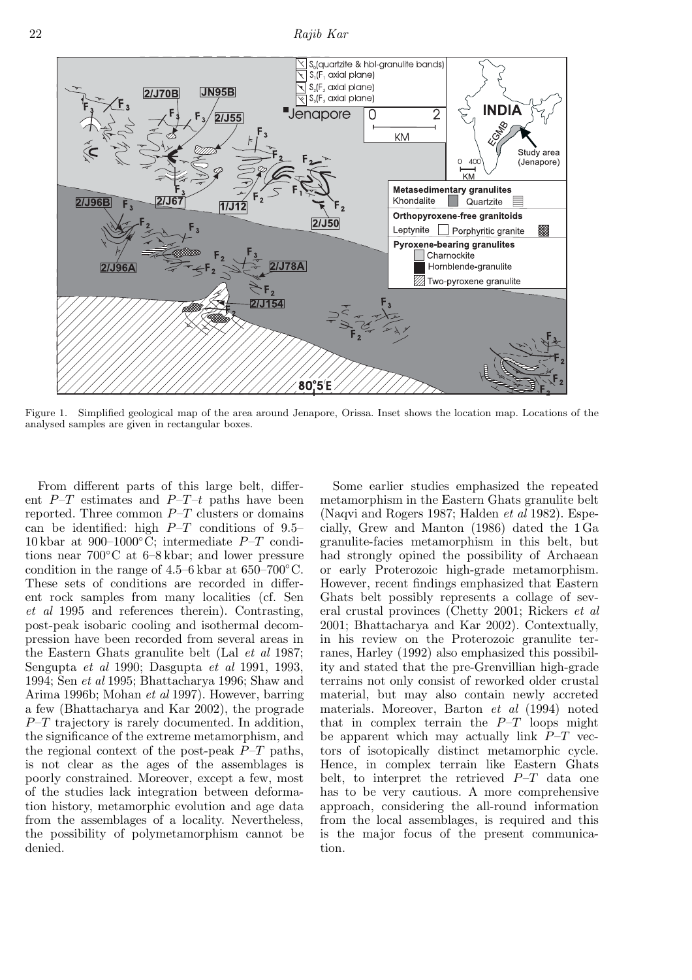22 *Rajib Kar*



Figure 1. Simplified geological map of the area around Jenapore, Orissa. Inset shows the location map. Locations of the analysed samples are given in rectangular boxes.

From different parts of this large belt, different  $P-T$  estimates and  $P-T-t$  paths have been reported. Three common  $P-T$  clusters or domains can be identified: high  $P-T$  conditions of 9.5– 10 kbar at  $900-1000\degree C$ ; intermediate  $P-T$  conditions near 700◦C at 6–8 kbar; and lower pressure condition in the range of  $4.5-6$  kbar at  $650-700^{\circ}$ C. These sets of conditions are recorded in different rock samples from many localities (cf. Sen *et al* 1995 and references therein). Contrasting, post-peak isobaric cooling and isothermal decompression have been recorded from several areas in the Eastern Ghats granulite belt (Lal *et al* 1987; Sengupta *et al* 1990; Dasgupta *et al* 1991, 1993, 1994; Sen *et al* 1995; Bhattacharya 1996; Shaw and Arima 1996b; Mohan *et al* 1997). However, barring a few (Bhattacharya and Kar 2002), the prograde  $P-T$  trajectory is rarely documented. In addition, the significance of the extreme metamorphism, and the regional context of the post-peak  $P-T$  paths, is not clear as the ages of the assemblages is poorly constrained. Moreover, except a few, most of the studies lack integration between deformation history, metamorphic evolution and age data from the assemblages of a locality. Nevertheless, the possibility of polymetamorphism cannot be denied.

Some earlier studies emphasized the repeated metamorphism in the Eastern Ghats granulite belt (Naqvi and Rogers 1987; Halden *et al* 1982). Especially, Grew and Manton (1986) dated the 1 Ga granulite-facies metamorphism in this belt, but had strongly opined the possibility of Archaean or early Proterozoic high-grade metamorphism. However, recent findings emphasized that Eastern Ghats belt possibly represents a collage of several crustal provinces (Chetty 2001; Rickers *et al* 2001; Bhattacharya and Kar 2002). Contextually, in his review on the Proterozoic granulite terranes, Harley (1992) also emphasized this possibility and stated that the pre-Grenvillian high-grade terrains not only consist of reworked older crustal material, but may also contain newly accreted materials. Moreover, Barton *et al* (1994) noted that in complex terrain the  $P-T$  loops might be apparent which may actually link  $P-T$  vectors of isotopically distinct metamorphic cycle. Hence, in complex terrain like Eastern Ghats belt, to interpret the retrieved  $P-T$  data one has to be very cautious. A more comprehensive approach, considering the all-round information from the local assemblages, is required and this is the major focus of the present communication.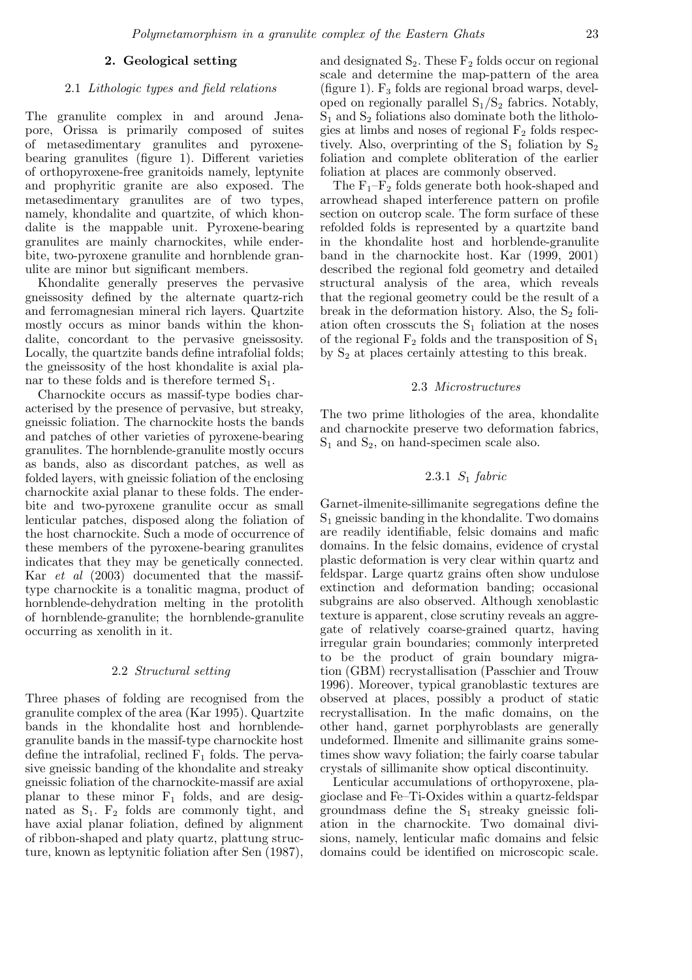#### 2. Geological setting

## 2.1 *Lithologic types and field relations*

The granulite complex in and around Jenapore, Orissa is primarily composed of suites of metasedimentary granulites and pyroxenebearing granulites (figure 1). Different varieties of orthopyroxene-free granitoids namely, leptynite and prophyritic granite are also exposed. The metasedimentary granulites are of two types, namely, khondalite and quartzite, of which khondalite is the mappable unit. Pyroxene-bearing granulites are mainly charnockites, while enderbite, two-pyroxene granulite and hornblende granulite are minor but significant members.

Khondalite generally preserves the pervasive gneissosity defined by the alternate quartz-rich and ferromagnesian mineral rich layers. Quartzite mostly occurs as minor bands within the khondalite, concordant to the pervasive gneissosity. Locally, the quartzite bands define intrafolial folds; the gneissosity of the host khondalite is axial planar to these folds and is therefore termed  $S_1$ .

Charnockite occurs as massif-type bodies characterised by the presence of pervasive, but streaky, gneissic foliation. The charnockite hosts the bands and patches of other varieties of pyroxene-bearing granulites. The hornblende-granulite mostly occurs as bands, also as discordant patches, as well as folded layers, with gneissic foliation of the enclosing charnockite axial planar to these folds. The enderbite and two-pyroxene granulite occur as small lenticular patches, disposed along the foliation of the host charnockite. Such a mode of occurrence of these members of the pyroxene-bearing granulites indicates that they may be genetically connected. Kar *et al* (2003) documented that the massiftype charnockite is a tonalitic magma, product of hornblende-dehydration melting in the protolith of hornblende-granulite; the hornblende-granulite occurring as xenolith in it.

#### 2.2 *Structural setting*

Three phases of folding are recognised from the granulite complex of the area (Kar 1995). Quartzite bands in the khondalite host and hornblendegranulite bands in the massif-type charnockite host define the intrafolial, reclined  $F_1$  folds. The pervasive gneissic banding of the khondalite and streaky gneissic foliation of the charnockite-massif are axial planar to these minor  $F_1$  folds, and are designated as  $S_1$ .  $F_2$  folds are commonly tight, and have axial planar foliation, defined by alignment of ribbon-shaped and platy quartz, plattung structure, known as leptynitic foliation after Sen (1987),

and designated  $S_2$ . These  $F_2$  folds occur on regional scale and determine the map-pattern of the area (figure 1).  $F_3$  folds are regional broad warps, developed on regionally parallel  $S_1/S_2$  fabrics. Notably,  $S_1$  and  $S_2$  foliations also dominate both the lithologies at limbs and noses of regional  $F_2$  folds respectively. Also, overprinting of the  $S_1$  foliation by  $S_2$ foliation and complete obliteration of the earlier foliation at places are commonly observed.

The  $F_1-F_2$  folds generate both hook-shaped and arrowhead shaped interference pattern on profile section on outcrop scale. The form surface of these refolded folds is represented by a quartzite band in the khondalite host and horblende-granulite band in the charnockite host. Kar (1999, 2001) described the regional fold geometry and detailed structural analysis of the area, which reveals that the regional geometry could be the result of a break in the deformation history. Also, the  $S_2$  foliation often crosscuts the  $S_1$  foliation at the noses of the regional  $F_2$  folds and the transposition of  $S_1$ by  $S_2$  at places certainly attesting to this break.

#### 2.3 *Microstructures*

The two prime lithologies of the area, khondalite and charnockite preserve two deformation fabrics,  $S_1$  and  $S_2$ , on hand-specimen scale also.

# 2.3.1 S<sup>1</sup> *fabric*

Garnet-ilmenite-sillimanite segregations define the  $S_1$  gneissic banding in the khondalite. Two domains are readily identifiable, felsic domains and mafic domains. In the felsic domains, evidence of crystal plastic deformation is very clear within quartz and feldspar. Large quartz grains often show undulose extinction and deformation banding; occasional subgrains are also observed. Although xenoblastic texture is apparent, close scrutiny reveals an aggregate of relatively coarse-grained quartz, having irregular grain boundaries; commonly interpreted to be the product of grain boundary migration (GBM) recrystallisation (Passchier and Trouw 1996). Moreover, typical granoblastic textures are observed at places, possibly a product of static recrystallisation. In the mafic domains, on the other hand, garnet porphyroblasts are generally undeformed. Ilmenite and sillimanite grains sometimes show wavy foliation; the fairly coarse tabular crystals of sillimanite show optical discontinuity.

Lenticular accumulations of orthopyroxene, plagioclase and Fe–Ti-Oxides within a quartz-feldspar groundmass define the  $S_1$  streaky gneissic foliation in the charnockite. Two domainal divisions, namely, lenticular mafic domains and felsic domains could be identified on microscopic scale.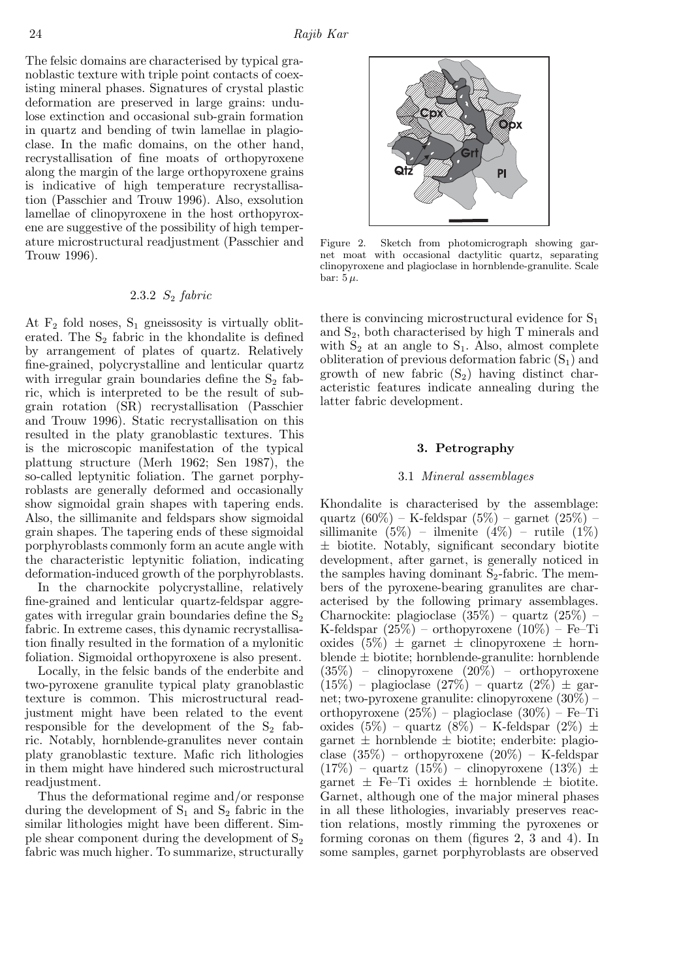The felsic domains are characterised by typical granoblastic texture with triple point contacts of coexisting mineral phases. Signatures of crystal plastic deformation are preserved in large grains: undulose extinction and occasional sub-grain formation in quartz and bending of twin lamellae in plagioclase. In the mafic domains, on the other hand, recrystallisation of fine moats of orthopyroxene along the margin of the large orthopyroxene grains is indicative of high temperature recrystallisation (Passchier and Trouw 1996). Also, exsolution lamellae of clinopyroxene in the host orthopyroxene are suggestive of the possibility of high temperature microstructural readjustment (Passchier and Trouw 1996).

# 2.3.2 S<sup>2</sup> *fabric*

At  $F_2$  fold noses,  $S_1$  gneissosity is virtually obliterated. The  $S_2$  fabric in the khondalite is defined by arrangement of plates of quartz. Relatively fine-grained, polycrystalline and lenticular quartz with irregular grain boundaries define the  $S_2$  fabric, which is interpreted to be the result of subgrain rotation (SR) recrystallisation (Passchier and Trouw 1996). Static recrystallisation on this resulted in the platy granoblastic textures. This is the microscopic manifestation of the typical plattung structure (Merh 1962; Sen 1987), the so-called leptynitic foliation. The garnet porphyroblasts are generally deformed and occasionally show sigmoidal grain shapes with tapering ends. Also, the sillimanite and feldspars show sigmoidal grain shapes. The tapering ends of these sigmoidal porphyroblasts commonly form an acute angle with the characteristic leptynitic foliation, indicating deformation-induced growth of the porphyroblasts.

In the charnockite polycrystalline, relatively fine-grained and lenticular quartz-feldspar aggregates with irregular grain boundaries define the  $S_2$ fabric. In extreme cases, this dynamic recrystallisation finally resulted in the formation of a mylonitic foliation. Sigmoidal orthopyroxene is also present.

Locally, in the felsic bands of the enderbite and two-pyroxene granulite typical platy granoblastic texture is common. This microstructural readjustment might have been related to the event responsible for the development of the  $S_2$  fabric. Notably, hornblende-granulites never contain platy granoblastic texture. Mafic rich lithologies in them might have hindered such microstructural readjustment.

Thus the deformational regime and/or response during the development of  $S_1$  and  $S_2$  fabric in the similar lithologies might have been different. Simple shear component during the development of  $S_2$ fabric was much higher. To summarize, structurally



Figure 2. Sketch from photomicrograph showing garnet moat with occasional dactylitic quartz, separating clinopyroxene and plagioclase in hornblende-granulite. Scale bar:  $5 \mu$ .

there is convincing microstructural evidence for  $S_1$ and  $S_2$ , both characterised by high T minerals and with  $S_2$  at an angle to  $S_1$ . Also, almost complete obliteration of previous deformation fabric  $(S_1)$  and growth of new fabric  $(S_2)$  having distinct characteristic features indicate annealing during the latter fabric development.

#### 3. Petrography

#### 3.1 *Mineral assemblages*

Khondalite is characterised by the assemblage: quartz (60%) – K-feldspar (5%) – garnet (25%) – sillimanite  $(5\%)$  – ilmenite  $(4\%)$  – rutile  $(1\%)$ ± biotite. Notably, significant secondary biotite development, after garnet, is generally noticed in the samples having dominant  $S_2$ -fabric. The members of the pyroxene-bearing granulites are characterised by the following primary assemblages. Charnockite: plagioclase (35%) – quartz (25%) – K-feldspar (25%) – orthopyroxene (10%) – Fe–Ti oxides  $(5\%) \pm \text{garnet} \pm \text{clinopyroxene} \pm \text{horn}$ blende  $\pm$  biotite; hornblende-granulite: hornblende (35%) – clinopyroxene (20%) – orthopyroxene  $(15\%)$  – plagioclase  $(27\%)$  – quartz  $(2\%) \pm \text{gar}$ net; two-pyroxene granulite: clinopyroxene (30%) – orthopyroxene (25%) – plagioclase (30%) – Fe–Ti oxides  $(5\%)$  – quartz  $(8\%)$  – K-feldspar  $(2\%) \pm$ garnet  $\pm$  hornblende  $\pm$  biotite; enderbite: plagioclase  $(35\%)$  – orthopyroxene  $(20\%)$  – K-feldspar  $(17\%)$  – quartz  $(15\%)$  – clinopyroxene  $(13\%) \pm$ garnet  $\pm$  Fe–Ti oxides  $\pm$  hornblende  $\pm$  biotite. Garnet, although one of the major mineral phases in all these lithologies, invariably preserves reaction relations, mostly rimming the pyroxenes or forming coronas on them (figures 2, 3 and 4). In some samples, garnet porphyroblasts are observed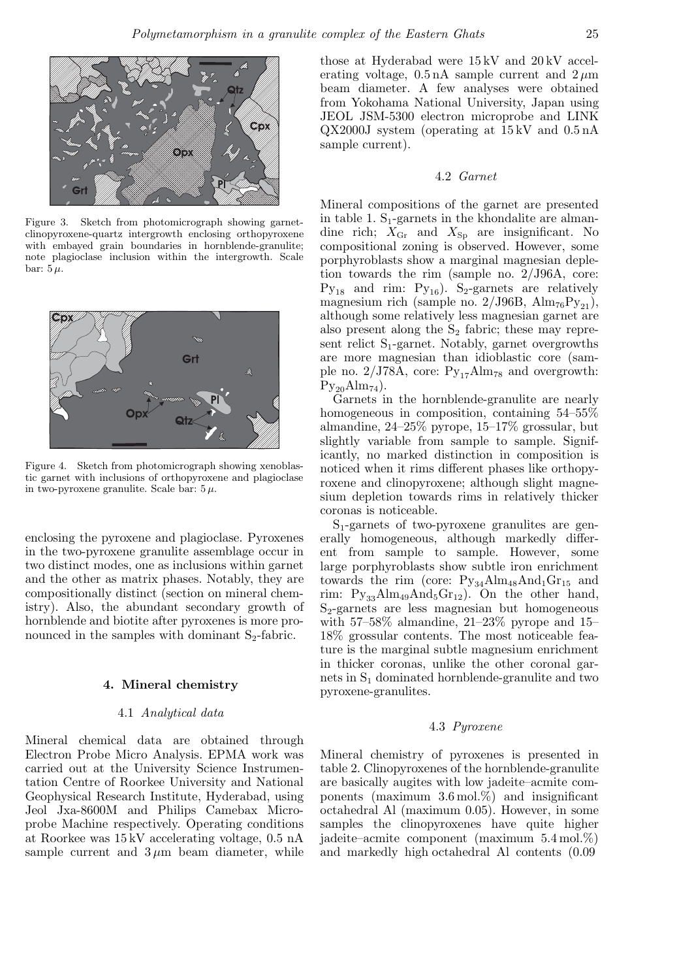

Figure 3. Sketch from photomicrograph showing garnetclinopyroxene-quartz intergrowth enclosing orthopyroxene with embayed grain boundaries in hornblende-granulite; note plagioclase inclusion within the intergrowth. Scale bar:  $5 \mu$ .



Figure 4. Sketch from photomicrograph showing xenoblastic garnet with inclusions of orthopyroxene and plagioclase in two-pyroxene granulite. Scale bar:  $5 \mu$ .

enclosing the pyroxene and plagioclase. Pyroxenes in the two-pyroxene granulite assemblage occur in two distinct modes, one as inclusions within garnet and the other as matrix phases. Notably, they are compositionally distinct (section on mineral chemistry). Also, the abundant secondary growth of hornblende and biotite after pyroxenes is more pronounced in the samples with dominant  $S_2$ -fabric.

#### 4. Mineral chemistry

#### 4.1 *Analytical data*

Mineral chemical data are obtained through Electron Probe Micro Analysis. EPMA work was carried out at the University Science Instrumentation Centre of Roorkee University and National Geophysical Research Institute, Hyderabad, using Jeol Jxa-8600M and Philips Camebax Microprobe Machine respectively. Operating conditions at Roorkee was 15 kV accelerating voltage, 0.5 nA sample current and  $3 \mu m$  beam diameter, while

those at Hyderabad were 15 kV and 20 kV accelerating voltage,  $0.5 \text{ nA}$  sample current and  $2 \mu \text{m}$ beam diameter. A few analyses were obtained from Yokohama National University, Japan using JEOL JSM-5300 electron microprobe and LINK QX2000J system (operating at 15 kV and 0.5 nA sample current).

## 4.2 *Garnet*

Mineral compositions of the garnet are presented in table 1.  $S_1$ -garnets in the khondalite are almandine rich;  $X_{\text{Gr}}$  and  $X_{\text{Sp}}$  are insignificant. No compositional zoning is observed. However, some porphyroblasts show a marginal magnesian depletion towards the rim (sample no. 2/J96A, core:  $Py_{18}$  and rim:  $Py_{16}$ ). S<sub>2</sub>-garnets are relatively magnesium rich (sample no.  $2/J96B$ ,  $Alm_{76}Py_{21}$ ), although some relatively less magnesian garnet are also present along the  $S_2$  fabric; these may represent relict  $S_1$ -garnet. Notably, garnet overgrowths are more magnesian than idioblastic core (sample no.  $2/J78A$ , core:  $Py_{17}Alm_{78}$  and overgrowth:  $Py_{20}Alm_{74}$ ).

Garnets in the hornblende-granulite are nearly homogeneous in composition, containing 54–55% almandine, 24–25% pyrope, 15–17% grossular, but slightly variable from sample to sample. Significantly, no marked distinction in composition is noticed when it rims different phases like orthopyroxene and clinopyroxene; although slight magnesium depletion towards rims in relatively thicker coronas is noticeable.

 $S_1$ -garnets of two-pyroxene granulites are generally homogeneous, although markedly different from sample to sample. However, some large porphyroblasts show subtle iron enrichment towards the rim (core:  $Py_{34}Alm_{48}And_{1}Gr_{15}$  and rim:  $Py_{33}Alm_{49}And_{5}Gr_{12}$ . On the other hand,  $S_2$ -garnets are less magnesian but homogeneous with  $57-58\%$  almandine,  $21-23\%$  pyrope and  $15-$ 18% grossular contents. The most noticeable feature is the marginal subtle magnesium enrichment in thicker coronas, unlike the other coronal garnets in  $S_1$  dominated hornblende-granulite and two pyroxene-granulites.

#### 4.3 *Pyroxene*

Mineral chemistry of pyroxenes is presented in table 2. Clinopyroxenes of the hornblende-granulite are basically augites with low jadeite–acmite components (maximum 3.6 mol.%) and insignificant octahedral Al (maximum 0.05). However, in some samples the clinopyroxenes have quite higher jadeite–acmite component (maximum 5.4 mol.%) and markedly high octahedral Al contents (0.09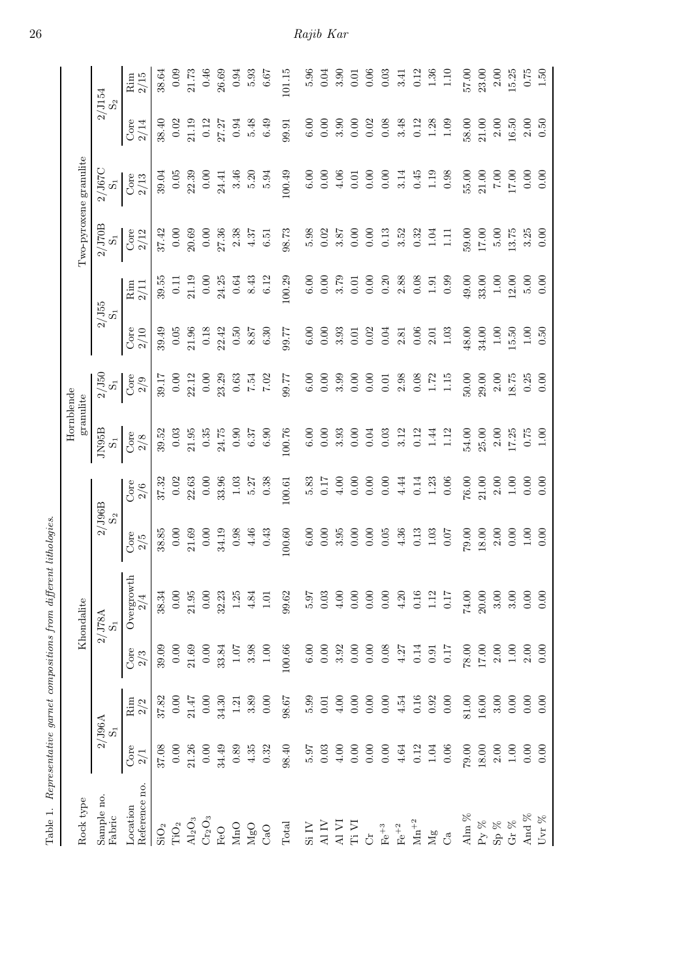|                                                        |             |                        |                                             | Table 1. Representative garnet compositions from different lithologies. |                                 |                                                                 |                                                                                                                    |                                                                                                                                                                                                                                                                                                               |                                              |                                                                                                       |                                                                                                                                                                                                                                                                                                               |                                                                                                        |              |                                                                        |
|--------------------------------------------------------|-------------|------------------------|---------------------------------------------|-------------------------------------------------------------------------|---------------------------------|-----------------------------------------------------------------|--------------------------------------------------------------------------------------------------------------------|---------------------------------------------------------------------------------------------------------------------------------------------------------------------------------------------------------------------------------------------------------------------------------------------------------------|----------------------------------------------|-------------------------------------------------------------------------------------------------------|---------------------------------------------------------------------------------------------------------------------------------------------------------------------------------------------------------------------------------------------------------------------------------------------------------------|--------------------------------------------------------------------------------------------------------|--------------|------------------------------------------------------------------------|
| Rock type                                              |             |                        |                                             | Khondalite                                                              |                                 |                                                                 | Hornblende<br>granulite                                                                                            |                                                                                                                                                                                                                                                                                                               |                                              |                                                                                                       |                                                                                                                                                                                                                                                                                                               | Two-pyroxene granulite                                                                                 |              |                                                                        |
| Sample no.<br>Fabric                                   |             | $2/ {\rm J}96 {\rm A}$ |                                             | 2/J78A<br>$\vec{\infty}$                                                | $2/ {\rm J96B} \over {\rm S}_2$ |                                                                 | JN95B<br>$\vec{\Omega}$                                                                                            | $\frac{2}{3}$ $\frac{15}{3}$                                                                                                                                                                                                                                                                                  | $2/\mathrm{J}55$ $\mathrm{S}_1$              |                                                                                                       | $2/\mathrm{J70B} \nonumber\\ \mathrm{S_{1}}$                                                                                                                                                                                                                                                                  | 2/J67C<br>$S_1$                                                                                        |              | $2/\mathrm{J}154$ $\mathrm{S}_2$                                       |
| Reference no.<br>Location                              | Core<br>2/1 | Rim                    | Core<br>2/3                                 | Overgrowth<br>2/4                                                       | Core<br>2/5                     | Core<br>$2/6$                                                   | Core<br>$2/8$                                                                                                      | Core<br>$2/9$                                                                                                                                                                                                                                                                                                 | Core<br>2/10                                 | Rim<br>2/11                                                                                           | Core<br>2/12                                                                                                                                                                                                                                                                                                  | Core<br>$2/13$                                                                                         | Core<br>2/14 | 2/15<br>Rim                                                            |
| $\rm SiO_2$                                            | 37.08       | 37.82                  | 39.09                                       | 38.34                                                                   | 38.85                           | 37.32                                                           | 39.52                                                                                                              | 39.17                                                                                                                                                                                                                                                                                                         | 39.49                                        | 39.5                                                                                                  | 37.42                                                                                                                                                                                                                                                                                                         | 39.04                                                                                                  | 38.40        | 38.64                                                                  |
| TiO <sub>2</sub>                                       | 0.00        | 0.00                   | 0.00                                        | 0.00                                                                    | 0.00                            | 0.02                                                            | 0.03                                                                                                               | 0.00                                                                                                                                                                                                                                                                                                          | 0.05                                         |                                                                                                       | 0.00                                                                                                                                                                                                                                                                                                          |                                                                                                        | 0.02         | 0.09                                                                   |
| $\rm Al_2O_3$                                          | 21.26       | 21.47                  | 21.69                                       | 21.95                                                                   | 21.69                           | $\begin{array}{c} 22.63 \\ 0.00 \\ 33.96 \end{array}$           | 21.95                                                                                                              | 22.12                                                                                                                                                                                                                                                                                                         | 21.96                                        | $0.11$<br>21.19                                                                                       | 20.69                                                                                                                                                                                                                                                                                                         | $\frac{0.05}{22.39}$                                                                                   | 21.19        |                                                                        |
| $\rm Cr_2O_3$                                          | 0.00        | 0.00                   | 0.00                                        | 0.00                                                                    | 0.00                            |                                                                 |                                                                                                                    | 0.00                                                                                                                                                                                                                                                                                                          | 0.18                                         | $0.00$<br>$24.25$                                                                                     |                                                                                                                                                                                                                                                                                                               | $\begin{array}{c} 0.00 \\ 24.41 \end{array}$                                                           | 0.12         | $\begin{array}{c} 21.73 \\ 0.46 \\ 26.69 \end{array}$                  |
| $_{\rm FeO}$                                           | 34.49       | 34.30                  | 33.84                                       | 32.23                                                                   | 34.19                           |                                                                 |                                                                                                                    | 23.29                                                                                                                                                                                                                                                                                                         | 22.42                                        |                                                                                                       | $0.00$<br>27.36                                                                                                                                                                                                                                                                                               |                                                                                                        | 27.27        |                                                                        |
| $\rm MnO$                                              | 0.89        | $1.21\,$               | 1.07                                        | 1.25                                                                    | 0.98                            |                                                                 |                                                                                                                    | 0.63                                                                                                                                                                                                                                                                                                          | 0.50                                         |                                                                                                       | 2.38                                                                                                                                                                                                                                                                                                          |                                                                                                        | 0.94         | 0.94                                                                   |
| $_{\rm CaO}^{\rm MgO}$                                 | 4.35        | 3.89                   | 3.98                                        | 4.84                                                                    | 4.46                            | $\frac{1.03}{5.27}$                                             |                                                                                                                    | 7.54                                                                                                                                                                                                                                                                                                          | 8.87                                         | $0.64$<br>8.43<br>6.12                                                                                | $4.37\phantom{}$ 6.51                                                                                                                                                                                                                                                                                         | $3.46$<br>$5.20$<br>$5.94$                                                                             | 5.48         | 5.93                                                                   |
|                                                        | 0.32        | 0.00                   | 1.00                                        | $1.01\,$                                                                | 0.43                            |                                                                 |                                                                                                                    | 7.02                                                                                                                                                                                                                                                                                                          | 6.30                                         |                                                                                                       |                                                                                                                                                                                                                                                                                                               |                                                                                                        | 6.49         | 6.67                                                                   |
| $\rm Total$                                            | $98.40\,$   | $98.67$                | 100.66                                      | 99.62                                                                   | 100.60                          | 100.61                                                          | $\begin{array}{r} 0.35 \\ 24.75 \\ 0.90 \\ 6.37 \\ 6.90 \\ 100.76 \end{array}$                                     | 17.66                                                                                                                                                                                                                                                                                                         | 17.66                                        | 100.29                                                                                                | $98.73$                                                                                                                                                                                                                                                                                                       | 100.49                                                                                                 | 99.91        | 101.15                                                                 |
| $\mathrm{Si}\:\mathrm{IV}$                             | 5.97        | 5.99                   | $6.00\,$                                    | 5.97                                                                    | $6.00\,$                        | 5.83                                                            | $\begin{array}{c} 0.00 \\ 0.000 \\ 0.000 \\ 0.000 \\ 0.000 \\ 0.01 \\ 0.12 \\ 0.12 \\ 0.12 \\ 0.13 \\ \end{array}$ |                                                                                                                                                                                                                                                                                                               |                                              | $0.000$<br>$0.0000$<br>$0.0000$                                                                       |                                                                                                                                                                                                                                                                                                               | $6.00\,$                                                                                               |              | $5.96$<br>0.04                                                         |
| Al IV                                                  | $0.03\,$    | $0.01\,$               | $0.00\,$                                    | 0.03                                                                    | 0.00                            | 0.17                                                            |                                                                                                                    |                                                                                                                                                                                                                                                                                                               |                                              |                                                                                                       |                                                                                                                                                                                                                                                                                                               | 0.00                                                                                                   |              |                                                                        |
| $\frac{\text{A}}{\text{I3}}\frac{\text{V}}{\text{V1}}$ | $4.00\,$    | 4.00                   | 3.92                                        | $4.00\,$                                                                |                                 |                                                                 |                                                                                                                    |                                                                                                                                                                                                                                                                                                               |                                              |                                                                                                       |                                                                                                                                                                                                                                                                                                               |                                                                                                        |              | 3.90                                                                   |
|                                                        | 0.00        | 0.00                   | $\begin{array}{c} 0.00 \\ 0.00 \end{array}$ | 0.00                                                                    | $3.95$<br>$0.00$<br>$0.00$      |                                                                 |                                                                                                                    |                                                                                                                                                                                                                                                                                                               |                                              |                                                                                                       |                                                                                                                                                                                                                                                                                                               |                                                                                                        |              | 0.01                                                                   |
| $\ddot{\circ}$                                         | $0.00\,$    | 0.00                   |                                             | 0.00                                                                    |                                 |                                                                 |                                                                                                                    |                                                                                                                                                                                                                                                                                                               |                                              |                                                                                                       |                                                                                                                                                                                                                                                                                                               |                                                                                                        |              | 0.06                                                                   |
| $Fe+3$                                                 | 0.00        | $0.00\,$               | $0.08\,$                                    | 0.00                                                                    | 0.05                            |                                                                 |                                                                                                                    |                                                                                                                                                                                                                                                                                                               |                                              |                                                                                                       |                                                                                                                                                                                                                                                                                                               |                                                                                                        |              | 0.03                                                                   |
| $\mathrm{Fe}^{+2}$                                     | 4.64        | 4.54                   | 4.27                                        | $4.20$                                                                  | 4.36                            | $\begin{array}{c} 4.00 \\ 0.00 \\ 0.00 \\ 0.01 \\ \end{array}$  |                                                                                                                    |                                                                                                                                                                                                                                                                                                               |                                              |                                                                                                       | $\begin{array}{c} 5.98 \\ 0.02 \\ 3.87 \\ 0.00 \\ 0.01 \\ 0.01 \\ 0.33 \\ 0.32 \\ 0.01 \\ 0.01 \\ 0.01 \\ 0.01 \\ 0.01 \\ 0.01 \\ 0.01 \\ 0.01 \\ 0.01 \\ 0.01 \\ 0.01 \\ 0.01 \\ 0.01 \\ 0.01 \\ 0.01 \\ 0.01 \\ 0.01 \\ 0.01 \\ 0.01 \\ 0.01 \\ 0.01 \\ 0.01 \\ 0.01 \\ 0.01 \\ 0.01 \\ 0.01 \\ 0.01 \\ 0.$ | $\begin{array}{c} 4.06 \\ 0.01 \\ 0.00 \\ 0.01 \\ 0.01 \\ 0.01 \\ 0.45 \\ 0.98 \\ 0.98 \\ \end{array}$ |              | 3.41                                                                   |
| ${\rm Mn}^{+2}$                                        | $\rm 0.12$  | $0.16\,$               | $0.14\,$                                    | $0.16\,$                                                                | 0.13                            | $\begin{array}{c} 0.14 \\ 1.23 \\ 0.06 \end{array}$             |                                                                                                                    |                                                                                                                                                                                                                                                                                                               |                                              |                                                                                                       |                                                                                                                                                                                                                                                                                                               |                                                                                                        |              | 0.12                                                                   |
| $\rm Mg$                                               | 1.04        | 0.92                   | 0.91                                        | $1.12$                                                                  | 1.03                            |                                                                 | $1.44\,$                                                                                                           |                                                                                                                                                                                                                                                                                                               |                                              |                                                                                                       |                                                                                                                                                                                                                                                                                                               |                                                                                                        |              |                                                                        |
| $\mathcal{C}^{\mathfrak{a}}$                           | $0.06\,$    | 0.00                   | 0.17                                        | $0.17\,$                                                                | 0.07                            |                                                                 | $1.12$                                                                                                             | $\begin{array}{c} 6.00 \\ 6.00 \\ 0.00 \\ 0.00 \\ 0.00 \\ 0.00 \\ 0.00 \\ 0.00 \\ 0.00 \\ 0.00 \\ 0.01 \\ 0.01 \\ 0.01 \\ 0.01 \\ 0.01 \\ 0.01 \\ 0.01 \\ 0.01 \\ 0.01 \\ 0.01 \\ 0.01 \\ 0.01 \\ 0.01 \\ 0.01 \\ 0.01 \\ 0.01 \\ 0.01 \\ 0.01 \\ 0.01 \\ 0.01 \\ 0.01 \\ 0.01 \\ 0.01 \\ 0.01 \\ 0.01 \\ 0.$ |                                              | $0.\overline{3}0$<br>$2.\overline{3}0$<br>$0.\overline{3}0$<br>$1.\overline{3}0$<br>$0.\overline{3}0$ | $1.11\,$                                                                                                                                                                                                                                                                                                      |                                                                                                        |              | $\begin{array}{c} 1.36 \\ 1.10 \end{array}$                            |
| Alm $\%$                                               | 00.62       | 81.00                  | 78.00                                       | $74.00$                                                                 | 79.00                           | $\begin{array}{c} \textbf{76.00} \\ \textbf{21.00} \end{array}$ |                                                                                                                    |                                                                                                                                                                                                                                                                                                               | 48.00                                        | $\begin{array}{c} 49.00 \\ 33.00 \\ 1.20 \\ 5.00 \\ 6.00 \\ \end{array}$                              | 59.00                                                                                                                                                                                                                                                                                                         |                                                                                                        | 58.00        | $\begin{array}{c} 57.00 \\ 23.00 \\ 2.00 \\ 15.25 \\ 0.75 \end{array}$ |
| Py $\%$                                                | 18.00       | $16.00\,$              | $17.00\,$                                   | $20.00\,$                                                               | 18.00                           |                                                                 | $\begin{array}{c} 54.00 \\ 25.00 \\ 2.00 \\ 17.25 \end{array}$                                                     | $\begin{array}{c} 50.00 \\ 29.00 \\ 2.00 \\ 18.75 \end{array}$                                                                                                                                                                                                                                                | 34.00                                        |                                                                                                       | 17.00                                                                                                                                                                                                                                                                                                         | $\begin{array}{c} 55.00 \\ 21.00 \\ 7.00 \\ 17.00 \end{array}$                                         | 21.00        |                                                                        |
| $\mathrm{Sp}$ %                                        | $2.00\,$    | 3.00                   | $2.00\,$                                    | $3.00\,$                                                                | 2.00                            | $2.00\phantom{0}1.00$                                           |                                                                                                                    |                                                                                                                                                                                                                                                                                                               | 1.00                                         |                                                                                                       | 5.00                                                                                                                                                                                                                                                                                                          |                                                                                                        | $2.00\,$     |                                                                        |
| Gr $\%$                                                | $1.00\,$    | 0.00                   | $1.00\,$                                    | 3.00                                                                    | 0.00                            |                                                                 |                                                                                                                    |                                                                                                                                                                                                                                                                                                               | $\begin{array}{c} 15.50 \\ 1.00 \end{array}$ |                                                                                                       | 13.75                                                                                                                                                                                                                                                                                                         |                                                                                                        | $16.50\,$    |                                                                        |
| And %                                                  | 0.00        | 0.00                   | 2.00                                        | 0.00                                                                    | 1.00                            | 0.00                                                            | 0.75                                                                                                               | $0.25$<br>$0.00$                                                                                                                                                                                                                                                                                              |                                              |                                                                                                       | 3.25                                                                                                                                                                                                                                                                                                          | 0.00                                                                                                   | 2.00         |                                                                        |
| Uvr $\%$                                               | 0.00        | 0.00                   | 0.00                                        | 0.00                                                                    | 0.00                            | 0.00                                                            | 1.00                                                                                                               |                                                                                                                                                                                                                                                                                                               | 0.50                                         |                                                                                                       | 0.00                                                                                                                                                                                                                                                                                                          | 0.00                                                                                                   | 0.50         | 1.50                                                                   |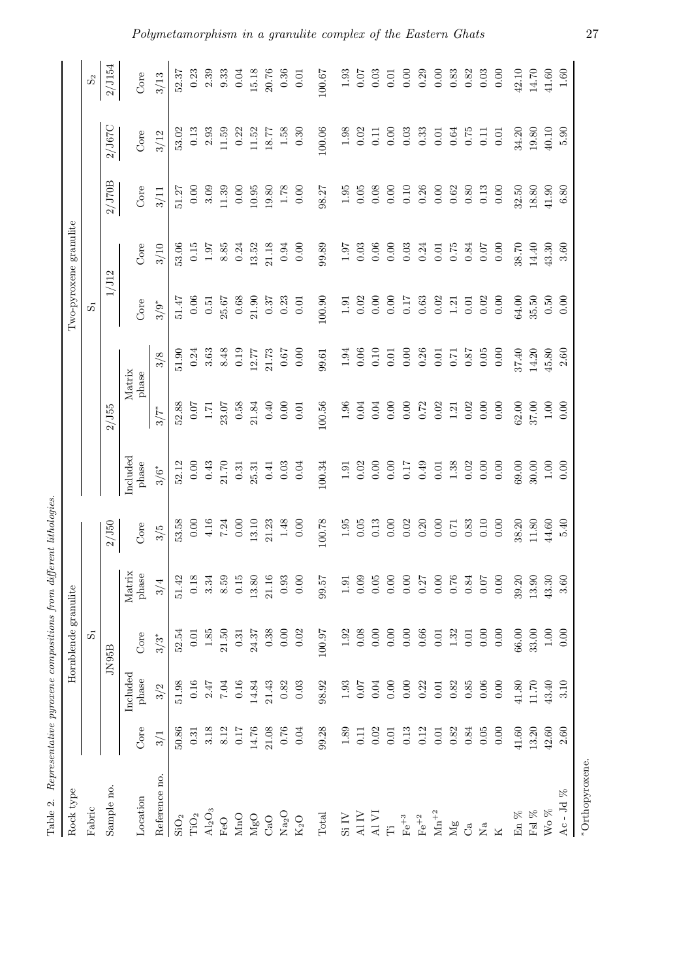| ,                                                        |
|----------------------------------------------------------|
| is and<br>ĵ<br>$\frac{1}{2}$<br>č.<br>₹                  |
|                                                          |
| a announced and a throno<br>ì<br>$\vdots$<br>22.162<br>ł |
| I<br>)<br>)<br>a manazon mana s<br>l                     |
| $\sim$<br>J<br>֧֠<br>ļ<br>l<br>Ş<br>ì<br>$\mathbf{c}$    |
| i<br>i<br>$\frac{1}{3}$<br>1 Grote<br>-<br>E             |

| Rock type                       |           |                   | Hornblende granulite |                 |          |                   |          |                                             |          | Two-pyroxene granulite |          |            |                                             |
|---------------------------------|-----------|-------------------|----------------------|-----------------|----------|-------------------|----------|---------------------------------------------|----------|------------------------|----------|------------|---------------------------------------------|
| Fabric                          |           |                   | $\vec{\Omega}$       |                 |          |                   |          |                                             | ທີ       |                        |          |            | $\mathcal{S}_2$                             |
| Sample no.                      |           |                   | JN95B                |                 | 2/J50    |                   | 2/J55    |                                             | 1/J12    |                        | $2/J70B$ | $2/J67C$   | 2/J154                                      |
| Location                        | Core      | Included<br>phase | Core                 | Matrix<br>phase | Core     | Included<br>phase |          | Matrix<br>phase                             | Core     | Core                   | Core     | Core       | Core                                        |
| Reference no                    | 3/1       | 3/2               | $3/3*$               | 3/4             | 3/5      | $3/6$ *           | $3/7$ *  | 3/8                                         | $3/9*$   | 3/10                   | 3/11     | 3/12       | 3/13                                        |
| SiO <sub>2</sub>                | 50.86     | 51.98             | 52.54                | 51.42           | 53.58    | 52.12             | 52.88    | 51.90                                       | 51.47    | 53.06                  | 51.27    | 53.02      | 52.37                                       |
| $\rm TiO_2$                     | 0.31      | $0.16\,$          | 0.01                 | 0.18            | 0.00     | 0.00              | 10.07    |                                             | 0.06     | 0.15                   | 0.00     | $\!0.13$   | 0.23                                        |
| $\rm Al_2O_3$                   | 3.18      | 2.47              | 1.85                 | 3.34            | 4.16     | 0.43              | $1.71\,$ | $\begin{array}{c} 0.24 \\ 3.63 \end{array}$ | $0.51\,$ | 1.97                   | 3.09     | 2.93       | 2.39                                        |
| FeO                             | 8.12      | <b>7.04</b>       | 21.50                | 8.59            | 7.24     | 21.70             | 23.07    | 8.48                                        | 25.67    | 8.85                   | 11.39    | 11.59      | 9.33                                        |
| $\rm MnO$                       | 0.17      | $0.16\,$          | 0.31                 | 0.15            | 0.00     | 0.31              | $0.58\,$ | 0.19                                        | 0.68     | 0.24                   | 0.00     | 0.22       | 0.04                                        |
| ${ {\rm MgO}}$                  | 14.76     | 14.84             | 24.37                | 13.80           | 13.10    | 25.31             | 21.84    | 12.77                                       | 21.90    | 13.52                  | 10.95    | 11.52      | 15.18                                       |
| $\mathrm{CaO}$                  | 21.08     | 21.43             | 0.38                 | 21.16           | 21.23    | 0.41              | 0.40     | 21.73                                       | 0.37     | 21.18                  | 19.80    | 18.77      | 20.76                                       |
| $\rm Na_2O$                     | 0.76      | 0.82              | 0.00                 | $\,0.93$        | 1.48     | 0.03              | 0.00     | 0.67                                        | 0.23     | 0.94                   | $1.78\,$ | 1.58       | 0.36                                        |
| $\rm K_2O$                      | 0.04      | 0.03              | 0.02                 | 0.00            | 0.00     | 0.04              | 0.01     | 0.00                                        | $0.01\,$ | 0.00                   | 0.00     | 0.30       | $0.01\,$                                    |
| $\operatorname{\mathsf{Total}}$ | 99.28     | 98.92             | 100.97               | <b>15.66</b>    | 100.78   | 100.34            | 100.56   | 99.61                                       | 100.90   | 99.89                  | 98.27    | 100.06     | 100.67                                      |
| $\mathrm{Si}\:\mathrm{IV}$      | 1.89      | $1.93\,$          | 1.92                 | $1.91\,$        | $1.95\,$ | 1.91              | 1.96     | 1.94                                        | $1.91\,$ | 1.97                   | $1.95\,$ | $1.98\,$   | 1.93                                        |
| $\hbox{Al}\,\hbox{IV}$          | 0.11      | 0.07              | 0.08                 | 0.09            | 0.05     | 0.02              | $0.04\,$ | 0.06                                        | 0.02     | 0.03                   | 0.05     | 0.02       | 0.07                                        |
| AI VI                           | 0.02      | 0.04              | 0.00                 | $0.05\,$        | 0.13     | 0.00              | $0.04$   | 0.10                                        | 0.00     | 0.06                   | 0.08     | 0.11       | 0.03                                        |
| $\ddot{H}$                      | 0.01      | 0.00              | 0.00                 | $0.00\,$        | 0.00     | 0.00              | 0.00     | 0.01                                        | 0.00     | 0.00                   | 0.00     | 0.00       | 0.01                                        |
| $\mathrm{Fe}^{+3}$              | 0.13      | 0.00              | 0.00                 | $0.00\,$        | 0.02     | 0.17              | 0.00     | 0.00                                        | 0.17     | 0.03                   | $0.10\,$ | 0.03       | 0.00                                        |
| $Fe+2$                          | 0.12      | 0.22              | 0.66                 | 0.27            | 0.20     | 0.49              | 0.72     | 0.26                                        | 0.63     | 0.24                   | 0.26     | 0.33       | $\begin{array}{c} 0.29 \\ 0.00 \end{array}$ |
| $\rm Mn^{+2}$                   | 0.01      | $0.01\,$          | 0.01                 | $0.00\,$        | 0.00     | 0.01              | 0.02     | 0.01                                        | 0.02     | $0.01\,$               | 0.00     | $0.01\,$   |                                             |
| Mg                              | 0.82      | 0.82              | 1.32                 | $0.76$          | 0.71     | $1.38\,$          | $1.21\,$ | $0.71\,$                                    | $1.21\,$ | $0.75\,$               | 0.62     | $\!0.64\!$ | 0.83                                        |
| $\mathcal{C}^{\mathbf{a}}$      | 0.84      | 0.85              | 0.01                 | $\rm 0.84$      | $0.83\,$ | 0.02              | 0.02     | 0.87                                        | $0.01\,$ | 0.84                   | $0.80\,$ | $0.75\,$   | 0.82                                        |
| $\rm Na$                        | 0.05      | 0.06              | 0.00                 | 0.07            | 0.10     | 0.00              | 0.00     | 0.05                                        | 0.02     | 0.07                   | 0.13     | 0.11       | 0.03                                        |
| $\overline{\mathbf{K}}$         | 0.00      | 0.00              | 0.00                 | 0.00            | 0.00     | 0.00              | 0.00     | 0.00                                        | 0.00     | 0.00                   | 0.00     | $0.01\,$   | 0.00                                        |
| En $\%$                         | $41.60\,$ | $41.80\,$         | 66.00                | 39.20           | 38.20    | 69.00             | 62.00    | 37.40                                       | 64.00    | 38.70                  | 32.50    | $34.20\,$  | $42.10\,$                                   |
| Fsl $\%$                        | 13.20     | 11.70             | 33.00                | 13.90           | 11.80    | 30.00             | 37.00    | 14.20                                       | 35.50    | 14.40                  | 18.80    | 19.80      | 14.70                                       |
| Wo $\%$                         | 42.60     | 43.40             | 1.00                 | 43.30           | 44.60    | 1.00              | $1.00\,$ | 45.80                                       | 0.50     | 43.30                  | 41.90    | 40.10      | $41.60\,$                                   |
| Ac - Jd $\%$                    | 2.60      | 3.10              | 0.00                 | 3.60            | 5.40     | 0.00              | 0.00     | 2.60                                        | 0.00     | 3.60                   | 6.80     | 5.90       | $1.60\,$                                    |
| *Orthopyroxene.                 |           |                   |                      |                 |          |                   |          |                                             |          |                        |          |            |                                             |

*Polymetamorphism in a granulite complex of the Eastern Ghats* 27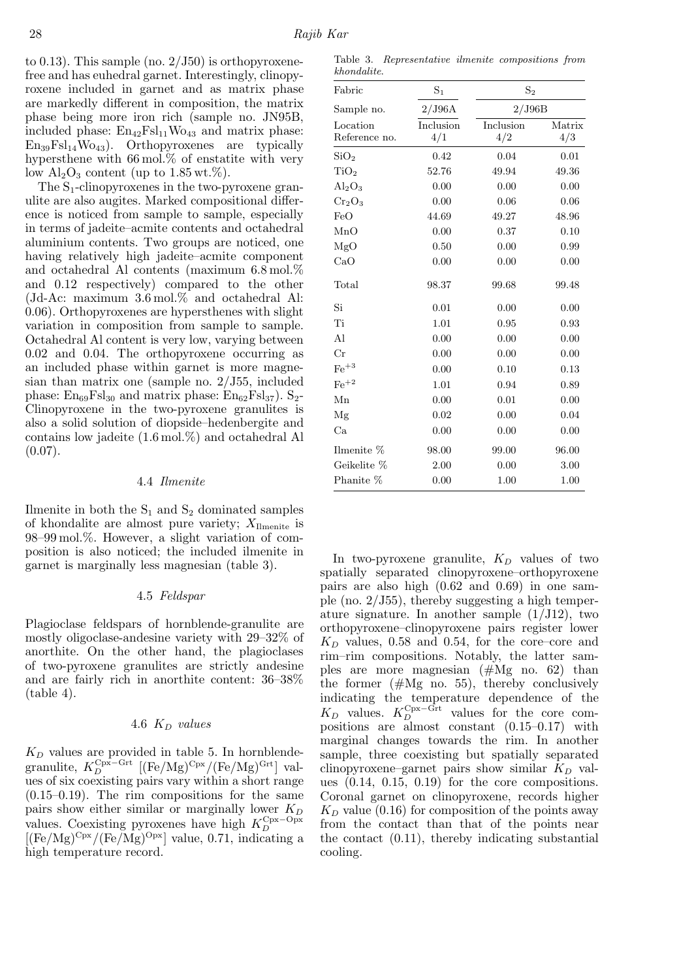to 0.13). This sample (no.  $2/\text{J}50$ ) is orthopyroxenefree and has euhedral garnet. Interestingly, clinopyroxene included in garnet and as matrix phase are markedly different in composition, the matrix phase being more iron rich (sample no. JN95B, included phase:  $En_{42}Fsl_{11}Wo_{43}$  and matrix phase:  $En_{39}Fsl_{14}Wo_{43}$ . Orthopyroxenes are typically hypersthene with  $66 \,\mathrm{mol}$ % of enstatite with very low  $\text{Al}_2\text{O}_3$  content (up to 1.85 wt.%).

The  $S_1$ -clinopyroxenes in the two-pyroxene granulite are also augites. Marked compositional difference is noticed from sample to sample, especially in terms of jadeite–acmite contents and octahedral aluminium contents. Two groups are noticed, one having relatively high jadeite–acmite component and octahedral Al contents (maximum 6.8 mol.% and 0.12 respectively) compared to the other (Jd-Ac: maximum 3.6 mol.% and octahedral Al: 0.06). Orthopyroxenes are hypersthenes with slight variation in composition from sample to sample. Octahedral Al content is very low, varying between 0.02 and 0.04. The orthopyroxene occurring as an included phase within garnet is more magnesian than matrix one (sample no. 2/J55, included phase:  $En_{69}Fsl_{30}$  and matrix phase:  $En_{62}Fsl_{37}$ ).  $S_{2}$ -Clinopyroxene in the two-pyroxene granulites is also a solid solution of diopside–hedenbergite and contains low jadeite (1.6 mol.%) and octahedral Al  $(0.07)$ .

## 4.4 *Ilmenite*

Ilmenite in both the  $S_1$  and  $S_2$  dominated samples of khondalite are almost pure variety;  $X_{\text{Ilmenite}}$  is 98–99 mol.%. However, a slight variation of composition is also noticed; the included ilmenite in garnet is marginally less magnesian (table 3).

### 4.5 *Feldspar*

Plagioclase feldspars of hornblende-granulite are mostly oligoclase-andesine variety with 29–32% of anorthite. On the other hand, the plagioclases of two-pyroxene granulites are strictly andesine and are fairly rich in anorthite content: 36–38%  $(table 4).$ 

# 4.6 K<sup>D</sup> *values*

 $K_D$  values are provided in table 5. In hornblendegranulite,  $K_D^{\text{Cpx-Grt}}$  [(Fe/Mg)<sup>Cpx</sup>/(Fe/Mg)<sup>Grt</sup>] values of six coexisting pairs vary within a short range (0.15–0.19). The rim compositions for the same pairs show either similar or marginally lower  $K_D$ values. Coexisting pyroxenes have high  $K_D^{\text{Cpx}-\text{Opx}}$  $[(Fe/Mg)^{Cpx}/(Fe/Mg)^{Opx}]$  value, 0.71, indicating a high temperature record.

Table 3. Representative ilmenite compositions from khondalite.

| Fabric                         | $\mathrm{S}_1$             | $S_2$            |               |  |  |
|--------------------------------|----------------------------|------------------|---------------|--|--|
| Sample no.                     | $2/\mathrm{J}96\mathrm{A}$ | 2/J96B           |               |  |  |
| Location<br>Reference no.      | Inclusion<br>4/1           | Inclusion<br>4/2 | Matrix<br>4/3 |  |  |
| SiO <sub>2</sub>               | 0.42                       | 0.04             | 0.01          |  |  |
| TiO <sub>2</sub>               | 52.76                      | 49.94            | 49.36         |  |  |
| $\text{Al}_2\text{O}_3$        | 0.00                       | 0.00             | 0.00          |  |  |
| Cr <sub>2</sub> O <sub>3</sub> | 0.00                       | 0.06             | 0.06          |  |  |
| FeO                            | 44.69                      | 49.27            | 48.96         |  |  |
| MnO                            | 0.00                       | 0.37             | 0.10          |  |  |
| MgO                            | 0.50                       | 0.00             | 0.99          |  |  |
| CaO                            | 0.00                       | 0.00             | 0.00          |  |  |
| Total                          | 98.37                      | 99.68            | 99.48         |  |  |
| Si                             | 0.01                       | 0.00             | 0.00          |  |  |
| Ti                             | 1.01                       | 0.95             | 0.93          |  |  |
| Al                             | 0.00                       | 0.00             | 0.00          |  |  |
| Cr                             | 0.00                       | 0.00             | 0.00          |  |  |
| $\mathrm{Fe}^{+3}$             | 0.00                       | 0.10             | 0.13          |  |  |
| $\rm Fe^{+2}$                  | 1.01                       | 0.94             | 0.89          |  |  |
| Mn                             | 0.00                       | 0.01             | 0.00          |  |  |
| Mg                             | 0.02                       | 0.00             | 0.04          |  |  |
| Ca                             | 0.00                       | 0.00             | 0.00          |  |  |
| Ilmenite %                     | 98.00                      | 99.00            | 96.00         |  |  |
| Geikelite %                    | 2.00                       | 0.00             | 3.00          |  |  |
| Phanite \%                     | 0.00                       | 1.00             | 1.00          |  |  |

In two-pyroxene granulite,  $K_D$  values of two spatially separated clinopyroxene–orthopyroxene pairs are also high (0.62 and 0.69) in one sample (no. 2/J55), thereby suggesting a high temperature signature. In another sample  $(1/J12)$ , two orthopyroxene–clinopyroxene pairs register lower  $K_D$  values, 0.58 and 0.54, for the core–core and rim–rim compositions. Notably, the latter samples are more magnesian (#Mg no. 62) than the former  $(\text{#Mg no. } 55)$ , thereby conclusively indicating the temperature dependence of the  $K_D$  values.  $K_D^{\text{Cpx}-\tilde{\text{Grt}}}$  values for the core compositions are almost constant (0.15–0.17) with marginal changes towards the rim. In another sample, three coexisting but spatially separated clinopyroxene–garnet pairs show similar  $K_D$  values (0.14, 0.15, 0.19) for the core compositions. Coronal garnet on clinopyroxene, records higher  $K_D$  value (0.16) for composition of the points away from the contact than that of the points near the contact (0.11), thereby indicating substantial cooling.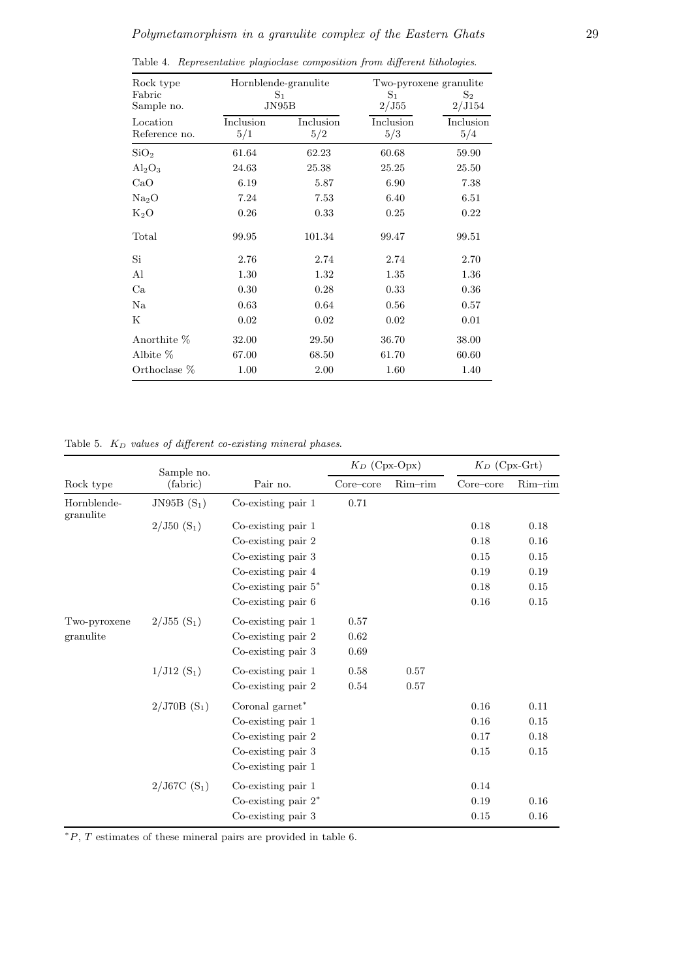| Rock type<br>Fabric       | Hornblende-granulite<br>$S_1$ |                  | Two-pyroxene granulite<br>$S_1$ | $S_2$            |
|---------------------------|-------------------------------|------------------|---------------------------------|------------------|
| Sample no.                | JN95B                         |                  | 2/J55                           | 2/J154           |
| Location<br>Reference no. | Inclusion<br>5/1              | Inclusion<br>5/2 | Inclusion<br>5/3                | Inclusion<br>5/4 |
| SiO <sub>2</sub>          | 61.64                         | 62.23            | 60.68                           | 59.90            |
| $Al_2O_3$                 | 24.63                         | 25.38            | 25.25                           | 25.50            |
| CaO                       | 6.19                          | 5.87             | 6.90                            | 7.38             |
| Na <sub>2</sub> O         | 7.24                          | 7.53             | 6.40                            | 6.51             |
| $K_2O$                    | 0.26                          | 0.33             | 0.25                            | 0.22             |
| Total                     | 99.95                         | 101.34           | 99.47                           | 99.51            |
| Si                        | 2.76                          | 2.74             | 2.74                            | 2.70             |
| Al                        | 1.30                          | 1.32             | 1.35                            | 1.36             |
| Ca                        | 0.30                          | 0.28             | 0.33                            | 0.36             |
| Na                        | 0.63                          | 0.64             | 0.56                            | 0.57             |
| Κ                         | 0.02                          | 0.02             | 0.02                            | 0.01             |
| Anorthite %               | 32.00                         | 29.50            | 36.70                           | 38.00            |
| Albite %                  | 67.00                         | 68.50            | 61.70                           | 60.60            |
| Orthoclase %              | 1.00                          | 2.00             | 1.60                            | 1.40             |

Table 4. Representative plagioclase composition from different lithologies.

Table 5.  $K_D$  values of different co-existing mineral phases.

|                          | Sample no.    |                         | $K_D$ (Cpx-Opx) |            | $K_D$ (Cpx-Grt) |         |
|--------------------------|---------------|-------------------------|-----------------|------------|-----------------|---------|
| Rock type                | (fabric)      | Pair no.                | Core–core       | $Rim$ -rim | Core–core       | Rim-rim |
| Hornblende-<br>granulite | JN95B $(S_1)$ | Co-existing pair 1      | 0.71            |            |                 |         |
|                          | $2/J50(S_1)$  | $Co$ -existing pair $1$ |                 |            | 0.18            | 0.18    |
|                          |               | $Co$ -existing pair $2$ |                 |            | 0.18            | 0.16    |
|                          |               | Co-existing pair 3      |                 |            | 0.15            | 0.15    |
|                          |               | Co-existing pair 4      |                 |            | 0.19            | 0.19    |
|                          |               | Co-existing pair $5^*$  |                 |            | 0.18            | 0.15    |
|                          |               | $Co$ -existing pair $6$ |                 |            | 0.16            | 0.15    |
| Two-pyroxene             | $2/J55(S_1)$  | Co-existing pair 1      | 0.57            |            |                 |         |
| granulite                |               | $Co$ -existing pair $2$ | 0.62            |            |                 |         |
|                          |               | Co-existing pair 3      | 0.69            |            |                 |         |
|                          | $1/J12(S_1)$  | Co-existing pair 1      | 0.58            | 0.57       |                 |         |
|                          |               | $Co$ -existing pair $2$ | 0.54            | 0.57       |                 |         |
|                          | $2/J70B(S_1)$ | Coronal garnet*         |                 |            | 0.16            | 0.11    |
|                          |               | $Co$ -existing pair $1$ |                 |            | 0.16            | 0.15    |
|                          |               | $Co$ -existing pair $2$ |                 |            | 0.17            | 0.18    |
|                          |               | Co-existing pair 3      |                 |            | 0.15            | 0.15    |
|                          |               | $Co$ -existing pair $1$ |                 |            |                 |         |
|                          | $2/J67C(S_1)$ | Co-existing pair 1      |                 |            | 0.14            |         |
|                          |               | Co-existing pair $2^*$  |                 |            | 0.19            | 0.16    |
|                          |               | Co-existing pair 3      |                 |            | 0.15            | 0.16    |

 $*P$ ,  $T$  estimates of these mineral pairs are provided in table 6.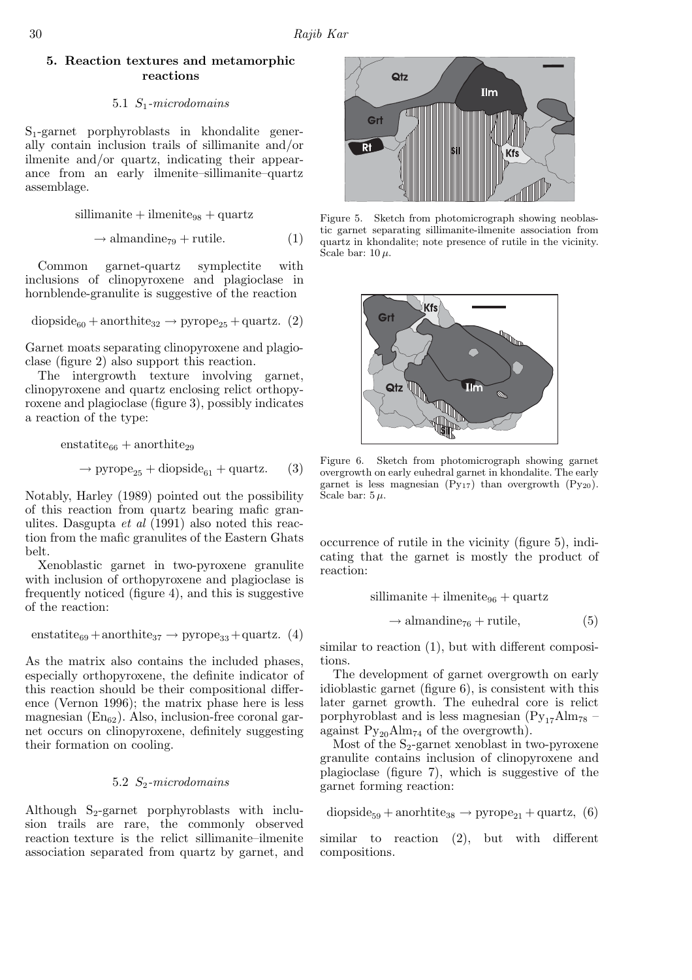## 5. Reaction textures and metamorphic reactions

## 5.1 S1*-microdomains*

S1-garnet porphyroblasts in khondalite generally contain inclusion trails of sillimanite and/or ilmenite and/or quartz, indicating their appearance from an early ilmenite–sillimanite–quartz assemblage.

$$
sillimanite + ilmenite_{98} + quartz
$$

$$
\rightarrow \text{almandine}_{79} + \text{rutile.} \tag{1}
$$

Common garnet-quartz symplectite with inclusions of clinopyroxene and plagioclase in hornblende-granulite is suggestive of the reaction

$$
{\rm diopside}_{60} + {\rm anorthite}_{32} \rightarrow {\rm pyrope}_{25} + {\rm quartz.} \ \ (2)
$$

Garnet moats separating clinopyroxene and plagioclase (figure 2) also support this reaction.

The intergrowth texture involving garnet, clinopyroxene and quartz enclosing relict orthopyroxene and plagioclase (figure 3), possibly indicates a reaction of the type:

$$
enstatite66 + anorthite29
$$
  

$$
\rightarrow \text{pyrope}_{25} + \text{dopside}_{61} + \text{quartz.} \tag{3}
$$

Notably, Harley (1989) pointed out the possibility of this reaction from quartz bearing mafic granulites. Dasgupta *et al* (1991) also noted this reaction from the mafic granulites of the Eastern Ghats belt.

Xenoblastic garnet in two-pyroxene granulite with inclusion of orthopyroxene and plagioclase is frequently noticed (figure 4), and this is suggestive of the reaction:

$$
enstatite_{69} + anorthite_{37} \rightarrow pyrope_{33} + quartz. \ \, (4)
$$

As the matrix also contains the included phases, especially orthopyroxene, the definite indicator of this reaction should be their compositional difference (Vernon 1996); the matrix phase here is less magnesian  $(En<sub>62</sub>)$ . Also, inclusion-free coronal garnet occurs on clinopyroxene, definitely suggesting their formation on cooling.

## 5.2 S2*-microdomains*

Although  $S_2$ -garnet porphyroblasts with inclusion trails are rare, the commonly observed reaction texture is the relict sillimanite–ilmenite association separated from quartz by garnet, and



Figure 5. Sketch from photomicrograph showing neoblastic garnet separating sillimanite-ilmenite association from quartz in khondalite; note presence of rutile in the vicinity. Scale bar:  $10 \mu$ .



Figure 6. Sketch from photomicrograph showing garnet overgrowth on early euhedral garnet in khondalite. The early garnet is less magnesian  $(Py_{17})$  than overgrowth  $(Py_{20})$ . Scale bar:  $5 \mu$ .

occurrence of rutile in the vicinity (figure 5), indicating that the garnet is mostly the product of reaction:

$$
sillimanite + ilmenite96 + quartz
$$

$$
\rightarrow almandine76 + rutile,
$$
 (5)

similar to reaction (1), but with different compositions.

The development of garnet overgrowth on early idioblastic garnet (figure 6), is consistent with this later garnet growth. The euhedral core is relict porphyroblast and is less magnesian  $(\text{Py}_{17} \text{Alm}_{78}$  – against  $Py_{20}Alm_{74}$  of the overgrowth).

Most of the  $S_2$ -garnet xenoblast in two-pyroxene granulite contains inclusion of clinopyroxene and plagioclase (figure 7), which is suggestive of the garnet forming reaction:

$$
d iopside_{59} + an or h title_{38} \rightarrow pyrope_{21} + quartz, (6)
$$

similar to reaction (2), but with different compositions.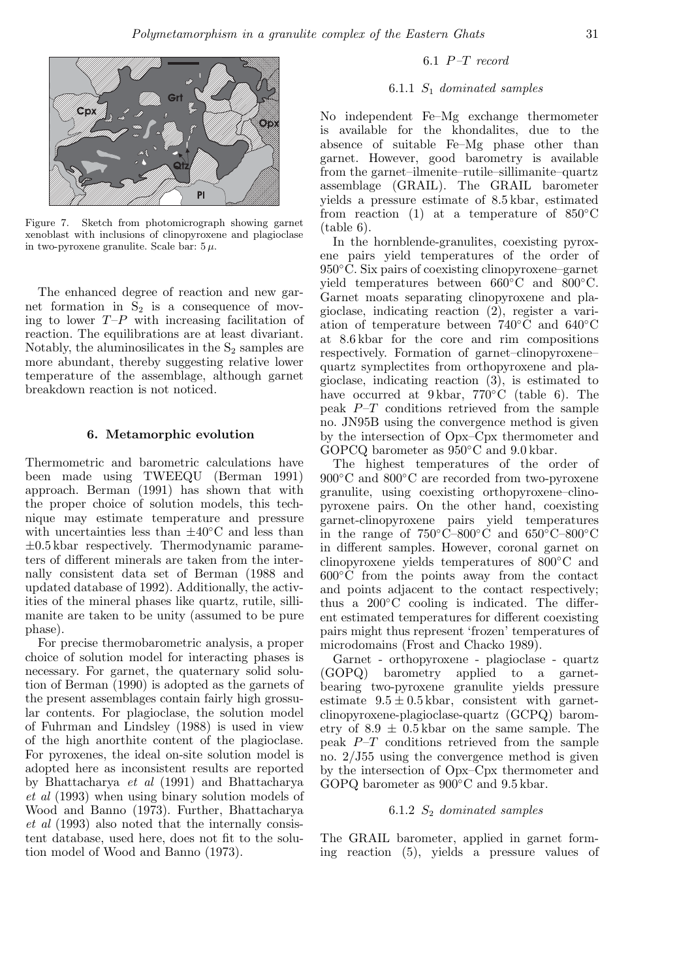

Figure 7. Sketch from photomicrograph showing garnet xenoblast with inclusions of clinopyroxene and plagioclase in two-pyroxene granulite. Scale bar:  $5 \mu$ .

The enhanced degree of reaction and new garnet formation in  $S_2$  is a consequence of moving to lower  $T-P$  with increasing facilitation of reaction. The equilibrations are at least divariant. Notably, the aluminosilicates in the  $S_2$  samples are more abundant, thereby suggesting relative lower temperature of the assemblage, although garnet breakdown reaction is not noticed.

#### 6. Metamorphic evolution

Thermometric and barometric calculations have been made using TWEEQU (Berman 1991) approach. Berman (1991) has shown that with the proper choice of solution models, this technique may estimate temperature and pressure with uncertainties less than  $\pm 40^{\circ}$ C and less than  $\pm 0.5$  kbar respectively. Thermodynamic parameters of different minerals are taken from the internally consistent data set of Berman (1988 and updated database of 1992). Additionally, the activities of the mineral phases like quartz, rutile, sillimanite are taken to be unity (assumed to be pure phase).

For precise thermobarometric analysis, a proper choice of solution model for interacting phases is necessary. For garnet, the quaternary solid solution of Berman (1990) is adopted as the garnets of the present assemblages contain fairly high grossular contents. For plagioclase, the solution model of Fuhrman and Lindsley (1988) is used in view of the high anorthite content of the plagioclase. For pyroxenes, the ideal on-site solution model is adopted here as inconsistent results are reported by Bhattacharya *et al* (1991) and Bhattacharya *et al* (1993) when using binary solution models of Wood and Banno (1973). Further, Bhattacharya *et al* (1993) also noted that the internally consistent database, used here, does not fit to the solution model of Wood and Banno (1973).

## 6.1 P*–*T *record*

## 6.1.1 S<sup>1</sup> *dominated samples*

No independent Fe–Mg exchange thermometer is available for the khondalites, due to the absence of suitable Fe–Mg phase other than garnet. However, good barometry is available from the garnet–ilmenite–rutile–sillimanite–quartz assemblage (GRAIL). The GRAIL barometer yields a pressure estimate of 8.5 kbar, estimated from reaction (1) at a temperature of  $850^{\circ}$ C (table 6).

In the hornblende-granulites, coexisting pyroxene pairs yield temperatures of the order of 950◦C. Six pairs of coexisting clinopyroxene–garnet yield temperatures between 660◦C and 800◦C. Garnet moats separating clinopyroxene and plagioclase, indicating reaction (2), register a variation of temperature between 740◦C and 640◦C at 8.6 kbar for the core and rim compositions respectively. Formation of garnet–clinopyroxene– quartz symplectites from orthopyroxene and plagioclase, indicating reaction (3), is estimated to have occurred at 9 kbar, 770◦C (table 6). The peak  $P-T$  conditions retrieved from the sample no. JN95B using the convergence method is given by the intersection of Opx–Cpx thermometer and GOPCQ barometer as  $950^{\circ}$ C and  $9.0$  kbar.

The highest temperatures of the order of 900°C and 800°C are recorded from two-pyroxene granulite, using coexisting orthopyroxene–clinopyroxene pairs. On the other hand, coexisting garnet-clinopyroxene pairs yield temperatures in the range of  $750^{\circ}$ C–800°C and  $650^{\circ}$ C–800°C in different samples. However, coronal garnet on clinopyroxene yields temperatures of 800◦C and 600◦C from the points away from the contact and points adjacent to the contact respectively; thus a  $200\degree$ C cooling is indicated. The different estimated temperatures for different coexisting pairs might thus represent 'frozen' temperatures of microdomains (Frost and Chacko 1989).

Garnet - orthopyroxene - plagioclase - quartz (GOPQ) barometry applied to a garnetbearing two-pyroxene granulite yields pressure estimate  $9.5 \pm 0.5$  kbar, consistent with garnetclinopyroxene-plagioclase-quartz (GCPQ) barometry of  $8.9 \pm 0.5$  kbar on the same sample. The peak  $P-T$  conditions retrieved from the sample no. 2/J55 using the convergence method is given by the intersection of Opx–Cpx thermometer and GOPQ barometer as 900◦C and 9.5 kbar.

## 6.1.2 S<sup>2</sup> *dominated samples*

The GRAIL barometer, applied in garnet forming reaction (5), yields a pressure values of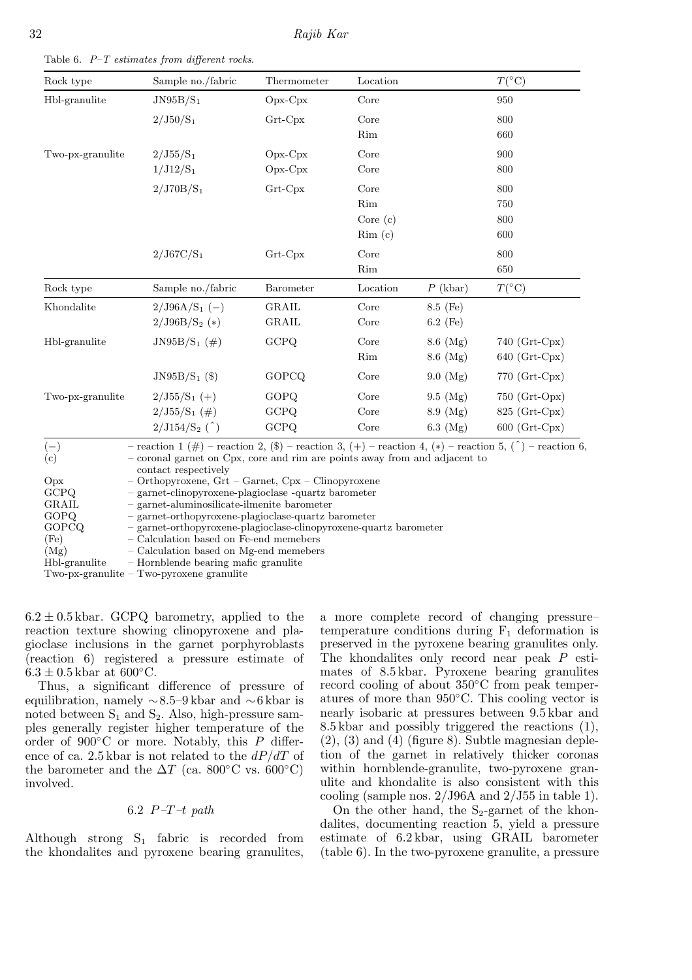| Rock type                   | Sample no./fabric                                                                                                                                                                                                                                                                                                                           | Thermometer   | Location   |               | $T({}^{\circ}C)$ |
|-----------------------------|---------------------------------------------------------------------------------------------------------------------------------------------------------------------------------------------------------------------------------------------------------------------------------------------------------------------------------------------|---------------|------------|---------------|------------------|
| Hbl-granulite               | $JN95B/S_1$                                                                                                                                                                                                                                                                                                                                 | $Opx-Cpx$     | Core       |               | 950              |
|                             | $2/J50/S_1$                                                                                                                                                                                                                                                                                                                                 | Grt-Cpx       | Core       |               | 800              |
|                             |                                                                                                                                                                                                                                                                                                                                             |               | Rim        |               | 660              |
| Two-px-granulite            | $2/J55/S_1$                                                                                                                                                                                                                                                                                                                                 | $Opx-Cpx$     | Core       |               | 900              |
|                             | $1/J12/S_1$                                                                                                                                                                                                                                                                                                                                 | $Opx-Cpx$     | Core       |               | 800              |
|                             | $2/J70B/S_1$                                                                                                                                                                                                                                                                                                                                | Grt-Cpx       | Core       |               | 800              |
|                             |                                                                                                                                                                                                                                                                                                                                             |               | Rim        |               | 750              |
|                             |                                                                                                                                                                                                                                                                                                                                             |               | Core $(c)$ |               | 800              |
|                             |                                                                                                                                                                                                                                                                                                                                             |               | Rim(c)     |               | 600              |
|                             | $2/J67C/S_1$                                                                                                                                                                                                                                                                                                                                | $Grt$ - $Cpx$ | Core       |               | 800              |
|                             |                                                                                                                                                                                                                                                                                                                                             |               | Rim        |               | 650              |
| Rock type                   | Sample no./fabric                                                                                                                                                                                                                                                                                                                           | Barometer     | Location   | $P$ (kbar)    | $T({}^{\circ}C)$ |
| Khondalite                  | $2/J96A/S_1$ (-)                                                                                                                                                                                                                                                                                                                            | GRAIL         | Core       | 8.5 (Fe)      |                  |
|                             | $2/J96B/S_2$ (*)                                                                                                                                                                                                                                                                                                                            | GRAIL         | Core       | $6.2$ (Fe)    |                  |
| Hbl-granulite               | JN95B/S <sub>1</sub> $(\#)$                                                                                                                                                                                                                                                                                                                 | GCPQ          | Core       | $8.6 \, (Mg)$ | 740 $(Grt-Cpx)$  |
|                             |                                                                                                                                                                                                                                                                                                                                             |               | Rim        | $8.6 \ (Mg)$  | 640 (Grt-Cpx)    |
|                             | JN95B/S <sub>1</sub> $(\text{\$})$                                                                                                                                                                                                                                                                                                          | GOPCQ         | Core       | 9.0 (Mg)      | 770 (Grt-Cpx)    |
| Two-px-granulite            | $2/J55/S_1$ (+)                                                                                                                                                                                                                                                                                                                             | GOPQ          | Core       | $9.5 \ (Mg)$  | 750 (Grt-Opx)    |
|                             | $2/J55/S_1$ (#)                                                                                                                                                                                                                                                                                                                             | GCPQ          | Core       | $8.9 \ (Mg)$  | $825$ (Grt-Cpx)  |
|                             | $2/J154/S_2$ (^)                                                                                                                                                                                                                                                                                                                            | GCPQ          | Core       | $6.3 \ (Mg)$  | 600 (Grt-Cpx)    |
| $(-)$<br>(c)<br>Opx<br>GCPQ | - reaction 1 (#) - reaction 2, (\$) - reaction 3, (+) - reaction 4, (*) - reaction 5, ( $\hat{ }$ ) - reaction 6.<br>- coronal garnet on Cpx, core and rim are points away from and adjacent to<br>contact respectively<br>$-$ Orthopyroxene, Grt $-$ Garnet, Cpx $-$ Clinopyroxene<br>- garnet-clinopyroxene-plagioclase -quartz barometer |               |            |               |                  |
| GRAIL<br>GOPQ               | - garnet-aluminosilicate-ilmenite barometer<br>- garnet-orthopyroxene-plagioclase-quartz barometer                                                                                                                                                                                                                                          |               |            |               |                  |

Table 6.  $P-T$  estimates from different rocks.

GOPQ – garnet-orthopyroxene-plagioclase-quartz barometer GOPCQ – garnet-orthopyroxene-plagioclase-clinopyroxene-quartz barometer (Fe)  $-$  Calculation based on Fe-end memebers<br>(Mg)  $-$  Calculation based on Mg-end memeber – Calculation based on Mg-end memebers Hbl-granulite – Hornblende bearing mafic granulite Two-px-granulite – Two-pyroxene granulite

 $6.2 \pm 0.5$  kbar. GCPQ barometry, applied to the reaction texture showing clinopyroxene and plagioclase inclusions in the garnet porphyroblasts (reaction 6) registered a pressure estimate of  $6.3 \pm 0.5$  kbar at  $600^{\circ}$ C.

Thus, a significant difference of pressure of equilibration, namely ∼8.5–9 kbar and ∼6 kbar is noted between  $S_1$  and  $S_2$ . Also, high-pressure samples generally register higher temperature of the order of  $900\degree$ C or more. Notably, this P difference of ca. 2.5 kbar is not related to the  $dP/dT$  of the barometer and the  $\Delta T$  (ca. 800°C vs. 600°C) involved.

6.2 P*–*T*–*t *path*

Although strong  $S_1$  fabric is recorded from the khondalites and pyroxene bearing granulites, a more complete record of changing pressure– temperature conditions during  $F_1$  deformation is preserved in the pyroxene bearing granulites only. The khondalites only record near peak P estimates of 8.5 kbar. Pyroxene bearing granulites record cooling of about 350◦C from peak temperatures of more than 950◦C. This cooling vector is nearly isobaric at pressures between 9.5 kbar and 8.5 kbar and possibly triggered the reactions (1),  $(2)$ ,  $(3)$  and  $(4)$  (figure 8). Subtle magnesian depletion of the garnet in relatively thicker coronas within hornblende-granulite, two-pyroxene granulite and khondalite is also consistent with this cooling (sample nos.  $2/J96A$  and  $2/J55$  in table 1).

On the other hand, the  $S_2$ -garnet of the khondalites, documenting reaction 5, yield a pressure estimate of 6.2 kbar, using GRAIL barometer (table 6). In the two-pyroxene granulite, a pressure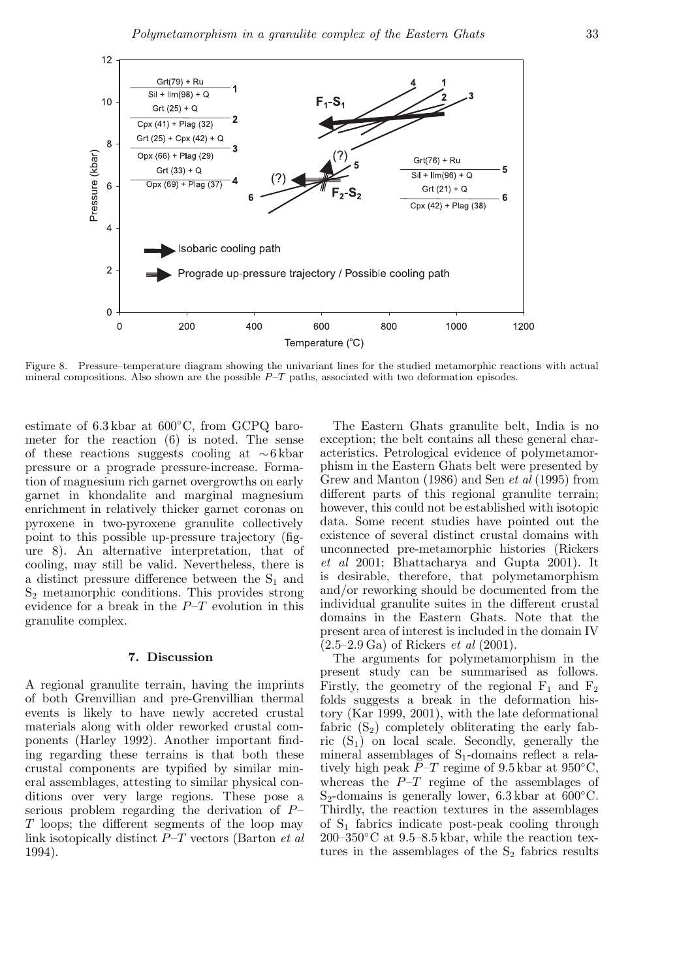

Figure 8. Pressure–temperature diagram showing the univariant lines for the studied metamorphic reactions with actual mineral compositions. Also shown are the possible  $P-T$  paths, associated with two deformation episodes.

estimate of 6.3 kbar at 600◦C, from GCPQ barometer for the reaction (6) is noted. The sense of these reactions suggests cooling at ∼6 kbar pressure or a prograde pressure-increase. Formation of magnesium rich garnet overgrowths on early garnet in khondalite and marginal magnesium enrichment in relatively thicker garnet coronas on pyroxene in two-pyroxene granulite collectively point to this possible up-pressure trajectory (figure 8). An alternative interpretation, that of cooling, may still be valid. Nevertheless, there is a distinct pressure difference between the  $S_1$  and  $S<sub>2</sub>$  metamorphic conditions. This provides strong evidence for a break in the  $P-T$  evolution in this granulite complex.

#### 7. Discussion

A regional granulite terrain, having the imprints of both Grenvillian and pre-Grenvillian thermal events is likely to have newly accreted crustal materials along with older reworked crustal components (Harley 1992). Another important finding regarding these terrains is that both these crustal components are typified by similar mineral assemblages, attesting to similar physical conditions over very large regions. These pose a serious problem regarding the derivation of P– T loops; the different segments of the loop may link isotopically distinct P–T vectors (Barton *et al* 1994).

The Eastern Ghats granulite belt, India is no exception; the belt contains all these general characteristics. Petrological evidence of polymetamorphism in the Eastern Ghats belt were presented by Grew and Manton (1986) and Sen *et al* (1995) from different parts of this regional granulite terrain; however, this could not be established with isotopic data. Some recent studies have pointed out the existence of several distinct crustal domains with unconnected pre-metamorphic histories (Rickers *et al* 2001; Bhattacharya and Gupta 2001). It is desirable, therefore, that polymetamorphism and/or reworking should be documented from the individual granulite suites in the different crustal domains in the Eastern Ghats. Note that the present area of interest is included in the domain IV (2.5–2.9 Ga) of Rickers *et al* (2001).

The arguments for polymetamorphism in the present study can be summarised as follows. Firstly, the geometry of the regional  $F_1$  and  $F_2$ folds suggests a break in the deformation history (Kar 1999, 2001), with the late deformational fabric  $(S_2)$  completely obliterating the early fabric  $(S_1)$  on local scale. Secondly, generally the mineral assemblages of  $S_1$ -domains reflect a relatively high peak  $P-T$  regime of 9.5 kbar at 950 $\degree$ C, whereas the  $P-T$  regime of the assemblages of  $S_2$ -domains is generally lower, 6.3 kbar at 600 $^{\circ}$ C. Thirdly, the reaction textures in the assemblages of  $S_1$  fabrics indicate post-peak cooling through  $200-350$ °C at  $9.5-8.5$  kbar, while the reaction textures in the assemblages of the  $S_2$  fabrics results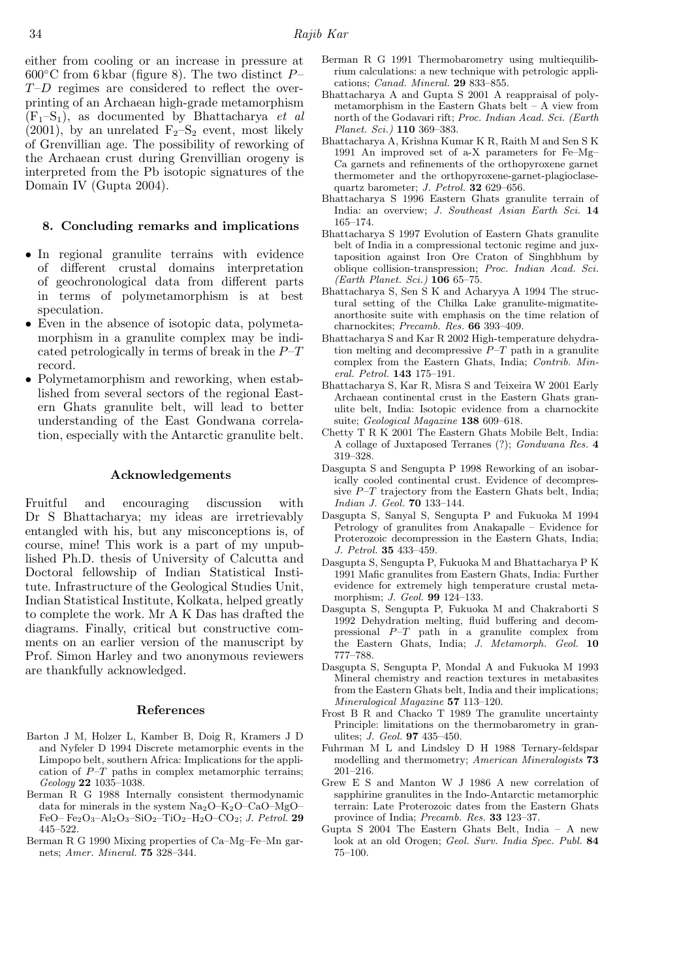either from cooling or an increase in pressure at  $600^{\circ}$ C from 6 kbar (figure 8). The two distinct  $P-$ T–D regimes are considered to reflect the overprinting of an Archaean high-grade metamorphism  $(F_1-S_1)$ , as documented by Bhattacharya *et al* (2001), by an unrelated  $F_2-S_2$  event, most likely of Grenvillian age. The possibility of reworking of the Archaean crust during Grenvillian orogeny is interpreted from the Pb isotopic signatures of the Domain IV (Gupta 2004).

#### 8. Concluding remarks and implications

- In regional granulite terrains with evidence of different crustal domains interpretation of geochronological data from different parts in terms of polymetamorphism is at best speculation.
- Even in the absence of isotopic data, polymetamorphism in a granulite complex may be indicated petrologically in terms of break in the  $P-T$ record.
- Polymetamorphism and reworking, when established from several sectors of the regional Eastern Ghats granulite belt, will lead to better understanding of the East Gondwana correlation, especially with the Antarctic granulite belt.

#### Acknowledgements

Fruitful and encouraging discussion with Dr S Bhattacharya; my ideas are irretrievably entangled with his, but any misconceptions is, of course, mine! This work is a part of my unpublished Ph.D. thesis of University of Calcutta and Doctoral fellowship of Indian Statistical Institute. Infrastructure of the Geological Studies Unit, Indian Statistical Institute, Kolkata, helped greatly to complete the work. Mr A K Das has drafted the diagrams. Finally, critical but constructive comments on an earlier version of the manuscript by Prof. Simon Harley and two anonymous reviewers are thankfully acknowledged.

#### References

- Barton J M, Holzer L, Kamber B, Doig R, Kramers J D and Nyfeler D 1994 Discrete metamorphic events in the Limpopo belt, southern Africa: Implications for the application of  $P-T$  paths in complex metamorphic terrains; Geology 22 1035–1038.
- Berman R G 1988 Internally consistent thermodynamic data for minerals in the system  $Na<sub>2</sub>O-K<sub>2</sub>O-CaO-MgO-$ FeO–  $Fe<sub>2</sub>O<sub>3</sub>$ –Al<sub>2</sub>O<sub>3</sub>–SiO<sub>2</sub>–TiO<sub>2</sub>–H<sub>2</sub>O–CO<sub>2</sub>; *J. Petrol.* 29 445–522.
- Berman R G 1990 Mixing properties of Ca–Mg–Fe–Mn garnets; Amer. Mineral. 75 328–344.
- Berman R G 1991 Thermobarometry using multiequilibrium calculations: a new technique with petrologic applications; Canad. Mineral. 29 833–855.
- Bhattacharya A and Gupta S 2001 A reappraisal of polymetamorphism in the Eastern Ghats belt – A view from north of the Godavari rift; Proc. Indian Acad. Sci. (Earth Planet. Sci.) 110 369–383.
- Bhattacharya A, Krishna Kumar K R, Raith M and Sen S K 1991 An improved set of a-X parameters for Fe–Mg– Ca garnets and refinements of the orthopyroxene garnet thermometer and the orthopyroxene-garnet-plagioclasequartz barometer; J. Petrol. 32 629–656.
- Bhattacharya S 1996 Eastern Ghats granulite terrain of India: an overview; J. Southeast Asian Earth Sci. 14 165–174.
- Bhattacharya S 1997 Evolution of Eastern Ghats granulite belt of India in a compressional tectonic regime and juxtaposition against Iron Ore Craton of Singhbhum by oblique collision-transpression; Proc. Indian Acad. Sci. (Earth Planet. Sci.) 106 65–75.
- Bhattacharya S, Sen S K and Acharyya A 1994 The structural setting of the Chilka Lake granulite-migmatiteanorthosite suite with emphasis on the time relation of charnockites; Precamb. Res. 66 393–409.
- Bhattacharya S and Kar R 2002 High-temperature dehydration melting and decompressive  $P-T$  path in a granulite complex from the Eastern Ghats, India; Contrib. Mineral. Petrol. 143 175–191.
- Bhattacharya S, Kar R, Misra S and Teixeira W 2001 Early Archaean continental crust in the Eastern Ghats granulite belt, India: Isotopic evidence from a charnockite suite; Geological Magazine 138 609-618.
- Chetty T R K 2001 The Eastern Ghats Mobile Belt, India: A collage of Juxtaposed Terranes (?); Gondwana Res. 4 319–328.
- Dasgupta S and Sengupta P 1998 Reworking of an isobarically cooled continental crust. Evidence of decompressive  $P-T$  trajectory from the Eastern Ghats belt, India; Indian J. Geol. 70 133–144.
- Dasgupta S, Sanyal S, Sengupta P and Fukuoka M 1994 Petrology of granulites from Anakapalle – Evidence for Proterozoic decompression in the Eastern Ghats, India; J. Petrol. 35 433–459.
- Dasgupta S, Sengupta P, Fukuoka M and Bhattacharya P K 1991 Mafic granulites from Eastern Ghats, India: Further evidence for extremely high temperature crustal metamorphism; J. Geol. 99 124–133.
- Dasgupta S, Sengupta P, Fukuoka M and Chakraborti S 1992 Dehydration melting, fluid buffering and decompressional P–T path in a granulite complex from the Eastern Ghats, India; J. Metamorph. Geol. 10 777–788.
- Dasgupta S, Sengupta P, Mondal A and Fukuoka M 1993 Mineral chemistry and reaction textures in metabasites from the Eastern Ghats belt, India and their implications; Mineralogical Magazine 57 113–120.
- Frost B R and Chacko T 1989 The granulite uncertainty Principle: limitations on the thermobarometry in granulites; J. Geol. 97 435–450.
- Fuhrman M L and Lindsley D H 1988 Ternary-feldspar modelling and thermometry; American Mineralogists **73** 201–216.
- Grew E S and Manton W J 1986 A new correlation of sapphirine granulites in the Indo-Antarctic metamorphic terrain: Late Proterozoic dates from the Eastern Ghats province of India; Precamb. Res. 33 123–37.
- Gupta S 2004 The Eastern Ghats Belt, India A new look at an old Orogen; Geol. Surv. India Spec. Publ. 84 75–100.